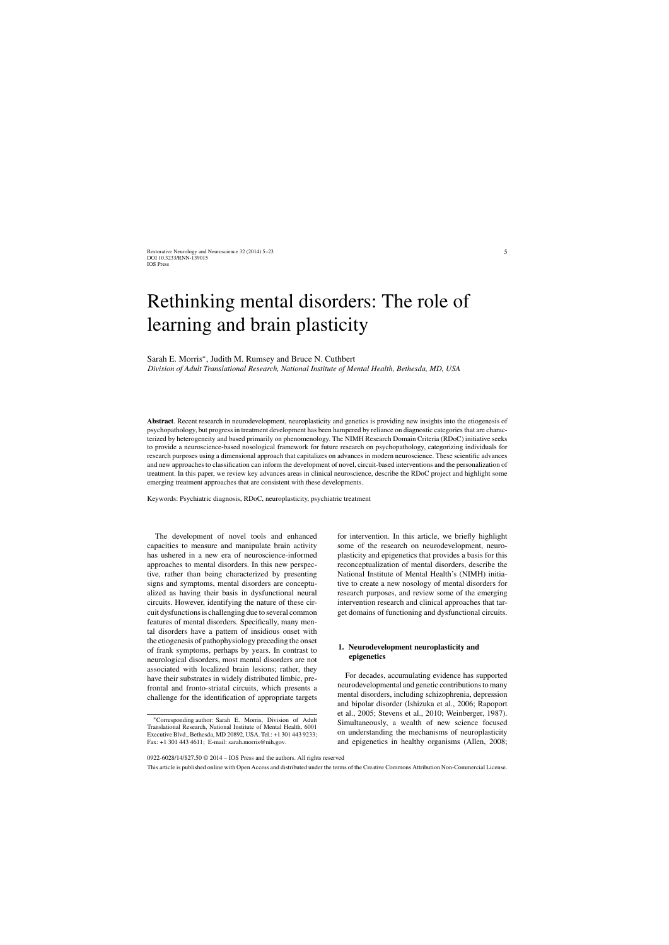# Rethinking mental disorders: The role of learning and brain plasticity

Sarah E. Morris∗, Judith M. Rumsey and Bruce N. Cuthbert

*Division of Adult Translational Research, National Institute of Mental Health, Bethesda, MD, USA*

**Abstract**. Recent research in neurodevelopment, neuroplasticity and genetics is providing new insights into the etiogenesis of psychopathology, but progress in treatment development has been hampered by reliance on diagnostic categories that are characterized by heterogeneity and based primarily on phenomenology. The NIMH Research Domain Criteria (RDoC) initiative seeks to provide a neuroscience-based nosological framework for future research on psychopathology, categorizing individuals for research purposes using a dimensional approach that capitalizes on advances in modern neuroscience. These scientific advances and new approaches to classification can inform the development of novel, circuit-based interventions and the personalization of treatment. In this paper, we review key advances areas in clinical neuroscience, describe the RDoC project and highlight some emerging treatment approaches that are consistent with these developments.

Keywords: Psychiatric diagnosis, RDoC, neuroplasticity, psychiatric treatment

The development of novel tools and enhanced capacities to measure and manipulate brain activity has ushered in a new era of neuroscience-informed approaches to mental disorders. In this new perspective, rather than being characterized by presenting signs and symptoms, mental disorders are conceptualized as having their basis in dysfunctional neural circuits. However, identifying the nature of these circuit dysfunctions is challenging due to several common features of mental disorders. Specifically, many mental disorders have a pattern of insidious onset with the etiogenesis of pathophysiology preceding the onset of frank symptoms, perhaps by years. In contrast to neurological disorders, most mental disorders are not associated with localized brain lesions; rather, they have their substrates in widely distributed limbic, prefrontal and fronto-striatal circuits, which presents a challenge for the identification of appropriate targets

for intervention. In this article, we briefly highlight some of the research on neurodevelopment, neuroplasticity and epigenetics that provides a basis for this reconceptualization of mental disorders, describe the National Institute of Mental Health's (NIMH) initiative to create a new nosology of mental disorders for research purposes, and review some of the emerging intervention research and clinical approaches that target domains of functioning and dysfunctional circuits.

## **1. Neurodevelopment neuroplasticity and epigenetics**

For decades, accumulating evidence has supported neurodevelopmental and genetic contributions to many mental disorders, including schizophrenia, depression and bipolar disorder (Ishizuka et al., 2006; Rapoport et al., 2005; Stevens et al., 2010; Weinberger, 1987). Simultaneously, a wealth of new science focused on understanding the mechanisms of neuroplasticity and epigenetics in healthy organisms (Allen, 2008;

0922-6028/14/\$27.50 © 2014 – IOS Press and the authors. All rights reserved

This article is published online with Open Access and distributed under the terms of the Creative Commons Attribution Non-Commercial License.

<sup>∗</sup>Corresponding author: Sarah E. Morris, Division of Adult Translational Research, National Institute of Mental Health, 6001 Executive Blvd., Bethesda, MD 20892, USA. Tel.: +1 301 443 9233; Fax: +1 301 443 4611; E-mail: [sarah.morris@nih.gov.](mailto:sarah.morris@nih.gov)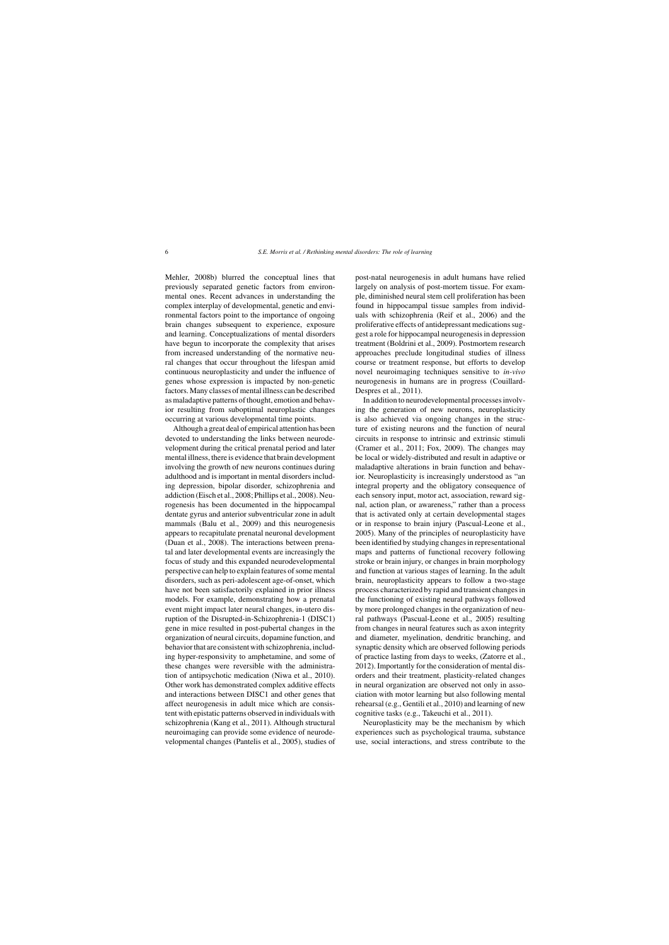Mehler, 2008b) blurred the conceptual lines that previously separated genetic factors from environmental ones. Recent advances in understanding the complex interplay of developmental, genetic and environmental factors point to the importance of ongoing brain changes subsequent to experience, exposure and learning. Conceptualizations of mental disorders have begun to incorporate the complexity that arises from increased understanding of the normative neural changes that occur throughout the lifespan amid continuous neuroplasticity and under the influence of genes whose expression is impacted by non-genetic factors. Many classes of mental illness can be described as maladaptive patterns of thought, emotion and behavior resulting from suboptimal neuroplastic changes occurring at various developmental time points.

Although a great deal of empirical attention has been devoted to understanding the links between neurodevelopment during the critical prenatal period and later mental illness, there is evidence that brain development involving the growth of new neurons continues during adulthood and is important in mental disorders including depression, bipolar disorder, schizophrenia and addiction (Eisch et al., 2008; Phillips et al., 2008). Neurogenesis has been documented in the hippocampal dentate gyrus and anterior subventricular zone in adult mammals (Balu et al., 2009) and this neurogenesis appears to recapitulate prenatal neuronal development (Duan et al., 2008). The interactions between prenatal and later developmental events are increasingly the focus of study and this expanded neurodevelopmental perspective can help to explain features of some mental disorders, such as peri-adolescent age-of-onset, which have not been satisfactorily explained in prior illness models. For example, demonstrating how a prenatal event might impact later neural changes, in-utero disruption of the Disrupted-in-Schizophrenia-1 (DISC1) gene in mice resulted in post-pubertal changes in the organization of neural circuits, dopamine function, and behavior that are consistent with schizophrenia, including hyper-responsivity to amphetamine, and some of these changes were reversible with the administration of antipsychotic medication (Niwa et al., 2010). Other work has demonstrated complex additive effects and interactions between DISC1 and other genes that affect neurogenesis in adult mice which are consistent with epistatic patterns observed in individuals with schizophrenia (Kang et al., 2011). Although structural neuroimaging can provide some evidence of neurodevelopmental changes (Pantelis et al., 2005), studies of post-natal neurogenesis in adult humans have relied largely on analysis of post-mortem tissue. For example, diminished neural stem cell proliferation has been found in hippocampal tissue samples from individuals with schizophrenia (Reif et al., 2006) and the proliferative effects of antidepressant medications suggest a role for hippocampal neurogenesis in depression treatment (Boldrini et al., 2009). Postmortem research approaches preclude longitudinal studies of illness course or treatment response, but efforts to develop novel neuroimaging techniques sensitive to *in-vivo* neurogenesis in humans are in progress (Couillard-Despres et al., 2011).

In addition to neurodevelopmental processes involving the generation of new neurons, neuroplasticity is also achieved via ongoing changes in the structure of existing neurons and the function of neural circuits in response to intrinsic and extrinsic stimuli (Cramer et al., 2011; Fox, 2009). The changes may be local or widely-distributed and result in adaptive or maladaptive alterations in brain function and behavior. Neuroplasticity is increasingly understood as "an integral property and the obligatory consequence of each sensory input, motor act, association, reward signal, action plan, or awareness," rather than a process that is activated only at certain developmental stages or in response to brain injury (Pascual-Leone et al., 2005). Many of the principles of neuroplasticity have been identified by studying changes in representational maps and patterns of functional recovery following stroke or brain injury, or changes in brain morphology and function at various stages of learning. In the adult brain, neuroplasticity appears to follow a two-stage process characterized by rapid and transient changes in the functioning of existing neural pathways followed by more prolonged changes in the organization of neural pathways (Pascual-Leone et al., 2005) resulting from changes in neural features such as axon integrity and diameter, myelination, dendritic branching, and synaptic density which are observed following periods of practice lasting from days to weeks, (Zatorre et al., 2012). Importantly for the consideration of mental disorders and their treatment, plasticity-related changes in neural organization are observed not only in association with motor learning but also following mental rehearsal (e.g., Gentili et al., 2010) and learning of new cognitive tasks (e.g., Takeuchi et al., 2011).

Neuroplasticity may be the mechanism by which experiences such as psychological trauma, substance use, social interactions, and stress contribute to the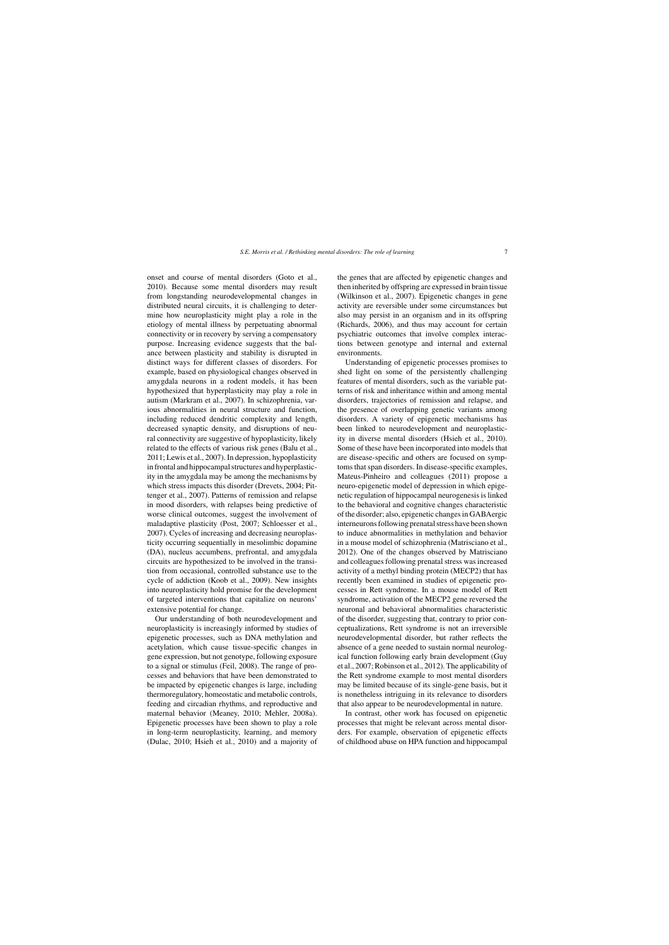onset and course of mental disorders (Goto et al., 2010). Because some mental disorders may result from longstanding neurodevelopmental changes in distributed neural circuits, it is challenging to determine how neuroplasticity might play a role in the etiology of mental illness by perpetuating abnormal connectivity or in recovery by serving a compensatory purpose. Increasing evidence suggests that the balance between plasticity and stability is disrupted in distinct ways for different classes of disorders. For example, based on physiological changes observed in amygdala neurons in a rodent models, it has been hypothesized that hyperplasticity may play a role in autism (Markram et al., 2007). In schizophrenia, various abnormalities in neural structure and function, including reduced dendritic complexity and length, decreased synaptic density, and disruptions of neural connectivity are suggestive of hypoplasticity, likely related to the effects of various risk genes (Balu et al., 2011; Lewis et al., 2007). In depression, hypoplasticity in frontal and hippocampal structures and hyperplasticity in the amygdala may be among the mechanisms by which stress impacts this disorder (Drevets, 2004; Pittenger et al., 2007). Patterns of remission and relapse in mood disorders, with relapses being predictive of worse clinical outcomes, suggest the involvement of maladaptive plasticity (Post, 2007; Schloesser et al., 2007). Cycles of increasing and decreasing neuroplasticity occurring sequentially in mesolimbic dopamine (DA), nucleus accumbens, prefrontal, and amygdala circuits are hypothesized to be involved in the transition from occasional, controlled substance use to the cycle of addiction (Koob et al., 2009). New insights into neuroplasticity hold promise for the development of targeted interventions that capitalize on neurons' extensive potential for change.

Our understanding of both neurodevelopment and neuroplasticity is increasingly informed by studies of epigenetic processes, such as DNA methylation and acetylation, which cause tissue-specific changes in gene expression, but not genotype, following exposure to a signal or stimulus (Feil, 2008). The range of processes and behaviors that have been demonstrated to be impacted by epigenetic changes is large, including thermoregulatory, homeostatic and metabolic controls, feeding and circadian rhythms, and reproductive and maternal behavior (Meaney, 2010; Mehler, 2008a). Epigenetic processes have been shown to play a role in long-term neuroplasticity, learning, and memory (Dulac, 2010; Hsieh et al., 2010) and a majority of the genes that are affected by epigenetic changes and then inherited by offspring are expressed in brain tissue (Wilkinson et al., 2007). Epigenetic changes in gene activity are reversible under some circumstances but also may persist in an organism and in its offspring (Richards, 2006), and thus may account for certain psychiatric outcomes that involve complex interactions between genotype and internal and external environments.

Understanding of epigenetic processes promises to shed light on some of the persistently challenging features of mental disorders, such as the variable patterns of risk and inheritance within and among mental disorders, trajectories of remission and relapse, and the presence of overlapping genetic variants among disorders. A variety of epigenetic mechanisms has been linked to neurodevelopment and neuroplasticity in diverse mental disorders (Hsieh et al., 2010). Some of these have been incorporated into models that are disease-specific and others are focused on symptoms that span disorders. In disease-specific examples, Mateus-Pinheiro and colleagues (2011) propose a neuro-epigenetic model of depression in which epigenetic regulation of hippocampal neurogenesis is linked to the behavioral and cognitive changes characteristic of the disorder; also, epigenetic changes in GABAergic interneurons following prenatal stress have been shown to induce abnormalities in methylation and behavior in a mouse model of schizophrenia (Matrisciano et al., 2012). One of the changes observed by Matrisciano and colleagues following prenatal stress was increased activity of a methyl binding protein (MECP2) that has recently been examined in studies of epigenetic processes in Rett syndrome. In a mouse model of Rett syndrome, activation of the MECP2 gene reversed the neuronal and behavioral abnormalities characteristic of the disorder, suggesting that, contrary to prior conceptualizations, Rett syndrome is not an irreversible neurodevelopmental disorder, but rather reflects the absence of a gene needed to sustain normal neurological function following early brain development (Guy et al., 2007; Robinson et al., 2012). The applicability of the Rett syndrome example to most mental disorders may be limited because of its single-gene basis, but it is nonetheless intriguing in its relevance to disorders that also appear to be neurodevelopmental in nature.

In contrast, other work has focused on epigenetic processes that might be relevant across mental disorders. For example, observation of epigenetic effects of childhood abuse on HPA function and hippocampal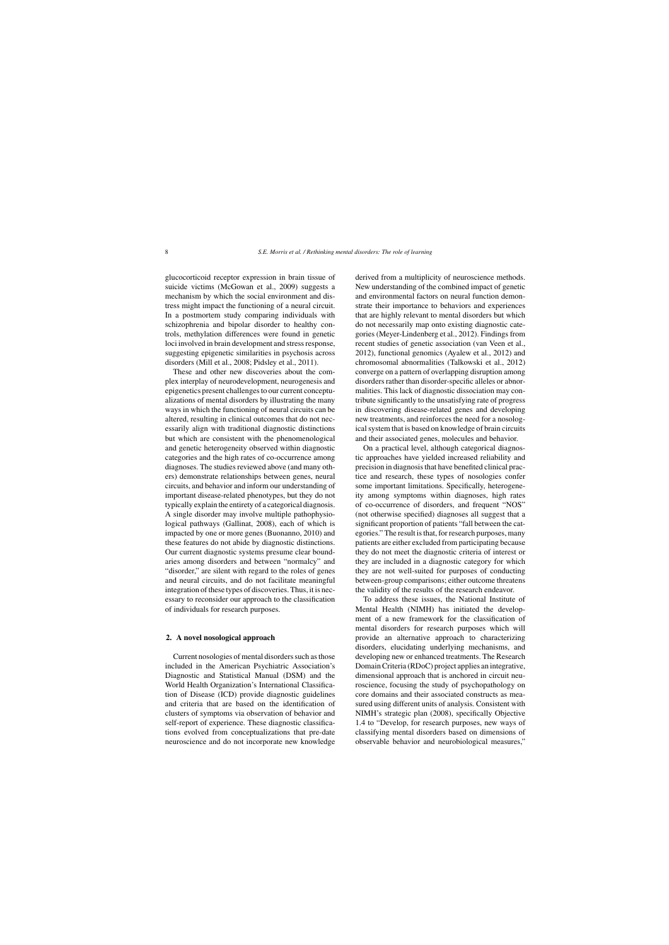glucocorticoid receptor expression in brain tissue of suicide victims (McGowan et al., 2009) suggests a mechanism by which the social environment and distress might impact the functioning of a neural circuit. In a postmortem study comparing individuals with schizophrenia and bipolar disorder to healthy controls, methylation differences were found in genetic loci involved in brain development and stress response, suggesting epigenetic similarities in psychosis across disorders (Mill et al., 2008; Pidsley et al., 2011).

These and other new discoveries about the complex interplay of neurodevelopment, neurogenesis and epigenetics present challenges to our current conceptualizations of mental disorders by illustrating the many ways in which the functioning of neural circuits can be altered, resulting in clinical outcomes that do not necessarily align with traditional diagnostic distinctions but which are consistent with the phenomenological and genetic heterogeneity observed within diagnostic categories and the high rates of co-occurrence among diagnoses. The studies reviewed above (and many others) demonstrate relationships between genes, neural circuits, and behavior and inform our understanding of important disease-related phenotypes, but they do not typically explain the entirety of a categorical diagnosis. A single disorder may involve multiple pathophysiological pathways (Gallinat, 2008), each of which is impacted by one or more genes (Buonanno, 2010) and these features do not abide by diagnostic distinctions. Our current diagnostic systems presume clear boundaries among disorders and between "normalcy" and "disorder," are silent with regard to the roles of genes and neural circuits, and do not facilitate meaningful integration of these types of discoveries. Thus, it is necessary to reconsider our approach to the classification of individuals for research purposes.

#### **2. A novel nosological approach**

Current nosologies of mental disorders such as those included in the American Psychiatric Association's Diagnostic and Statistical Manual (DSM) and the World Health Organization's International Classification of Disease (ICD) provide diagnostic guidelines and criteria that are based on the identification of clusters of symptoms via observation of behavior and self-report of experience. These diagnostic classifications evolved from conceptualizations that pre-date neuroscience and do not incorporate new knowledge

derived from a multiplicity of neuroscience methods. New understanding of the combined impact of genetic and environmental factors on neural function demonstrate their importance to behaviors and experiences that are highly relevant to mental disorders but which do not necessarily map onto existing diagnostic categories (Meyer-Lindenberg et al., 2012). Findings from recent studies of genetic association (van Veen et al., 2012), functional genomics (Ayalew et al., 2012) and chromosomal abnormalities (Talkowski et al., 2012) converge on a pattern of overlapping disruption among disorders rather than disorder-specific alleles or abnormalities. This lack of diagnostic dissociation may contribute significantly to the unsatisfying rate of progress in discovering disease-related genes and developing new treatments, and reinforces the need for a nosological system that is based on knowledge of brain circuits and their associated genes, molecules and behavior.

On a practical level, although categorical diagnostic approaches have yielded increased reliability and precision in diagnosis that have benefited clinical practice and research, these types of nosologies confer some important limitations. Specifically, heterogeneity among symptoms within diagnoses, high rates of co-occurrence of disorders, and frequent "NOS" (not otherwise specified) diagnoses all suggest that a significant proportion of patients "fall between the categories." The result is that, for research purposes, many patients are either excluded from participating because they do not meet the diagnostic criteria of interest or they are included in a diagnostic category for which they are not well-suited for purposes of conducting between-group comparisons; either outcome threatens the validity of the results of the research endeavor.

To address these issues, the National Institute of Mental Health (NIMH) has initiated the development of a new framework for the classification of mental disorders for research purposes which will provide an alternative approach to characterizing disorders, elucidating underlying mechanisms, and developing new or enhanced treatments. The Research Domain Criteria (RDoC) project applies an integrative, dimensional approach that is anchored in circuit neuroscience, focusing the study of psychopathology on core domains and their associated constructs as measured using different units of analysis. Consistent with NIMH's strategic plan (2008), specifically Objective 1.4 to "Develop, for research purposes, new ways of classifying mental disorders based on dimensions of observable behavior and neurobiological measures,"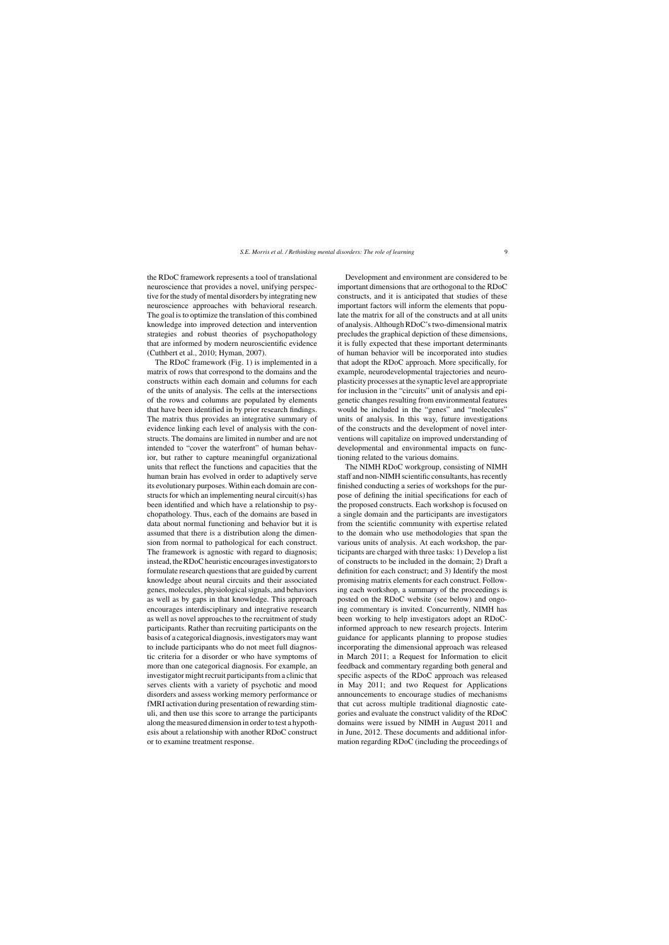the RDoC framework represents a tool of translational neuroscience that provides a novel, unifying perspective for the study of mental disorders by integrating new neuroscience approaches with behavioral research. The goal is to optimize the translation of this combined knowledge into improved detection and intervention strategies and robust theories of psychopathology that are informed by modern neuroscientific evidence (Cuthbert et al., 2010; Hyman, 2007).

The RDoC framework (Fig. 1) is implemented in a matrix of rows that correspond to the domains and the constructs within each domain and columns for each of the units of analysis. The cells at the intersections of the rows and columns are populated by elements that have been identified in by prior research findings. The matrix thus provides an integrative summary of evidence linking each level of analysis with the constructs. The domains are limited in number and are not intended to "cover the waterfront" of human behavior, but rather to capture meaningful organizational units that reflect the functions and capacities that the human brain has evolved in order to adaptively serve its evolutionary purposes. Within each domain are constructs for which an implementing neural circuit(s) has been identified and which have a relationship to psychopathology. Thus, each of the domains are based in data about normal functioning and behavior but it is assumed that there is a distribution along the dimension from normal to pathological for each construct. The framework is agnostic with regard to diagnosis; instead, the RDoC heuristic encourages investigators to formulate research questions that are guided by current knowledge about neural circuits and their associated genes, molecules, physiological signals, and behaviors as well as by gaps in that knowledge. This approach encourages interdisciplinary and integrative research as well as novel approaches to the recruitment of study participants. Rather than recruiting participants on the basis of a categorical diagnosis, investigators may want to include participants who do not meet full diagnostic criteria for a disorder or who have symptoms of more than one categorical diagnosis. For example, an investigator might recruit participants from a clinic that serves clients with a variety of psychotic and mood disorders and assess working memory performance or fMRI activation during presentation of rewarding stimuli, and then use this score to arrange the participants along the measured dimension in order to test a hypothesis about a relationship with another RDoC construct or to examine treatment response.

Development and environment are considered to be important dimensions that are orthogonal to the RDoC constructs, and it is anticipated that studies of these important factors will inform the elements that populate the matrix for all of the constructs and at all units of analysis. Although RDoC's two-dimensional matrix precludes the graphical depiction of these dimensions, it is fully expected that these important determinants of human behavior will be incorporated into studies that adopt the RDoC approach. More specifically, for example, neurodevelopmental trajectories and neuroplasticity processes at the synaptic level are appropriate for inclusion in the "circuits" unit of analysis and epigenetic changes resulting from environmental features would be included in the "genes" and "molecules" units of analysis. In this way, future investigations of the constructs and the development of novel interventions will capitalize on improved understanding of developmental and environmental impacts on functioning related to the various domains.

The NIMH RDoC workgroup, consisting of NIMH staff and non-NIMH scientific consultants, has recently finished conducting a series of workshops for the purpose of defining the initial specifications for each of the proposed constructs. Each workshop is focused on a single domain and the participants are investigators from the scientific community with expertise related to the domain who use methodologies that span the various units of analysis. At each workshop, the participants are charged with three tasks: 1) Develop a list of constructs to be included in the domain; 2) Draft a definition for each construct; and 3) Identify the most promising matrix elements for each construct. Following each workshop, a summary of the proceedings is posted on the RDoC website (see below) and ongoing commentary is invited. Concurrently, NIMH has been working to help investigators adopt an RDoCinformed approach to new research projects. Interim guidance for applicants planning to propose studies incorporating the dimensional approach was released in March 2011; a Request for Information to elicit feedback and commentary regarding both general and specific aspects of the RDoC approach was released in May 2011; and two Request for Applications announcements to encourage studies of mechanisms that cut across multiple traditional diagnostic categories and evaluate the construct validity of the RDoC domains were issued by NIMH in August 2011 and in June, 2012. These documents and additional information regarding RDoC (including the proceedings of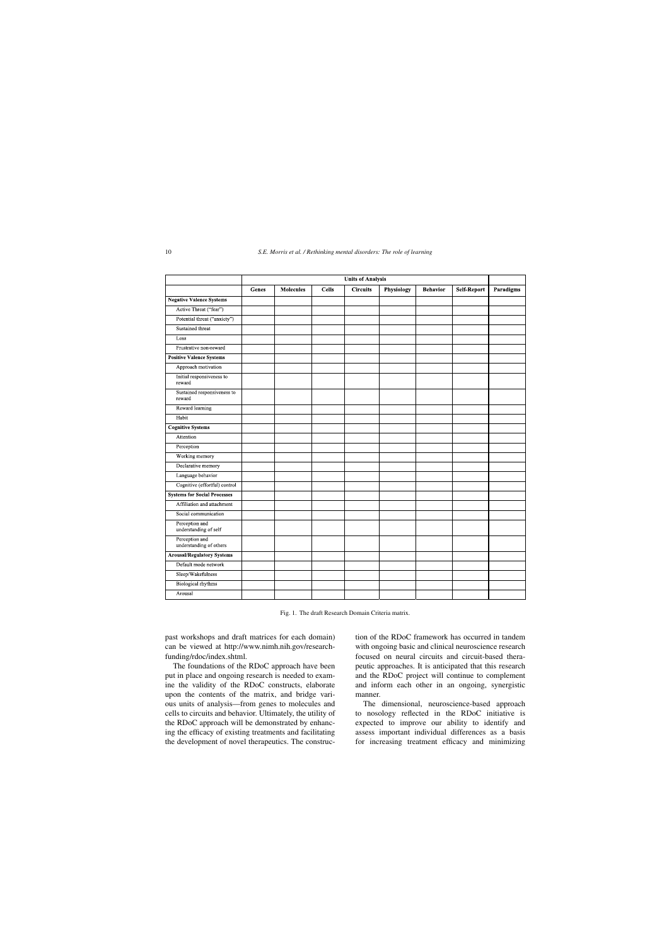|                                           | <b>Units of Analysis</b> |                  |              |                 |                   |                 |                    |           |
|-------------------------------------------|--------------------------|------------------|--------------|-----------------|-------------------|-----------------|--------------------|-----------|
|                                           | <b>Genes</b>             | <b>Molecules</b> | <b>Cells</b> | <b>Circuits</b> | <b>Physiology</b> | <b>Behavior</b> | <b>Self-Report</b> | Paradigms |
| <b>Negative Valence Systems</b>           |                          |                  |              |                 |                   |                 |                    |           |
| Active Threat ("fear")                    |                          |                  |              |                 |                   |                 |                    |           |
| Potential threat ("anxiety")              |                          |                  |              |                 |                   |                 |                    |           |
| Sustained threat                          |                          |                  |              |                 |                   |                 |                    |           |
| Loss                                      |                          |                  |              |                 |                   |                 |                    |           |
| Frustrative non-reward                    |                          |                  |              |                 |                   |                 |                    |           |
| <b>Positive Valence Systems</b>           |                          |                  |              |                 |                   |                 |                    |           |
| Approach motivation                       |                          |                  |              |                 |                   |                 |                    |           |
| Initial responsiveness to<br>reward       |                          |                  |              |                 |                   |                 |                    |           |
| Sustained responsiveness to<br>reward     |                          |                  |              |                 |                   |                 |                    |           |
| Reward learning                           |                          |                  |              |                 |                   |                 |                    |           |
| Habit                                     |                          |                  |              |                 |                   |                 |                    |           |
| <b>Cognitive Systems</b>                  |                          |                  |              |                 |                   |                 |                    |           |
| Attention                                 |                          |                  |              |                 |                   |                 |                    |           |
| Perception                                |                          |                  |              |                 |                   |                 |                    |           |
| Working memory                            |                          |                  |              |                 |                   |                 |                    |           |
| Declarative memory                        |                          |                  |              |                 |                   |                 |                    |           |
| Language behavior                         |                          |                  |              |                 |                   |                 |                    |           |
| Cognitive (effortful) control             |                          |                  |              |                 |                   |                 |                    |           |
| <b>Systems for Social Processes</b>       |                          |                  |              |                 |                   |                 |                    |           |
| Affiliation and attachment                |                          |                  |              |                 |                   |                 |                    |           |
| Social communication                      |                          |                  |              |                 |                   |                 |                    |           |
| Perception and<br>understanding of self   |                          |                  |              |                 |                   |                 |                    |           |
| Perception and<br>understanding of others |                          |                  |              |                 |                   |                 |                    |           |
| <b>Arousal/Regulatory Systems</b>         |                          |                  |              |                 |                   |                 |                    |           |
| Default mode network                      |                          |                  |              |                 |                   |                 |                    |           |
| Sleep/Wakefulness                         |                          |                  |              |                 |                   |                 |                    |           |
| Biological rhythms                        |                          |                  |              |                 |                   |                 |                    |           |
| Arousal                                   |                          |                  |              |                 |                   |                 |                    |           |

Fig. 1. The draft Research Domain Criteria matrix.

past workshops and draft matrices for each domain) can be viewed at [http://www.nimh.nih.gov/research](http://www.nimh.nih.gov/research-funding/rdoc/index.shtml)funding/rdoc/index.shtml.

The foundations of the RDoC approach have been put in place and ongoing research is needed to examine the validity of the RDoC constructs, elaborate upon the contents of the matrix, and bridge various units of analysis—from genes to molecules and cells to circuits and behavior. Ultimately, the utility of the RDoC approach will be demonstrated by enhancing the efficacy of existing treatments and facilitating the development of novel therapeutics. The construction of the RDoC framework has occurred in tandem with ongoing basic and clinical neuroscience research focused on neural circuits and circuit-based therapeutic approaches. It is anticipated that this research and the RDoC project will continue to complement and inform each other in an ongoing, synergistic manner.

The dimensional, neuroscience-based approach to nosology reflected in the RDoC initiative is expected to improve our ability to identify and assess important individual differences as a basis for increasing treatment efficacy and minimizing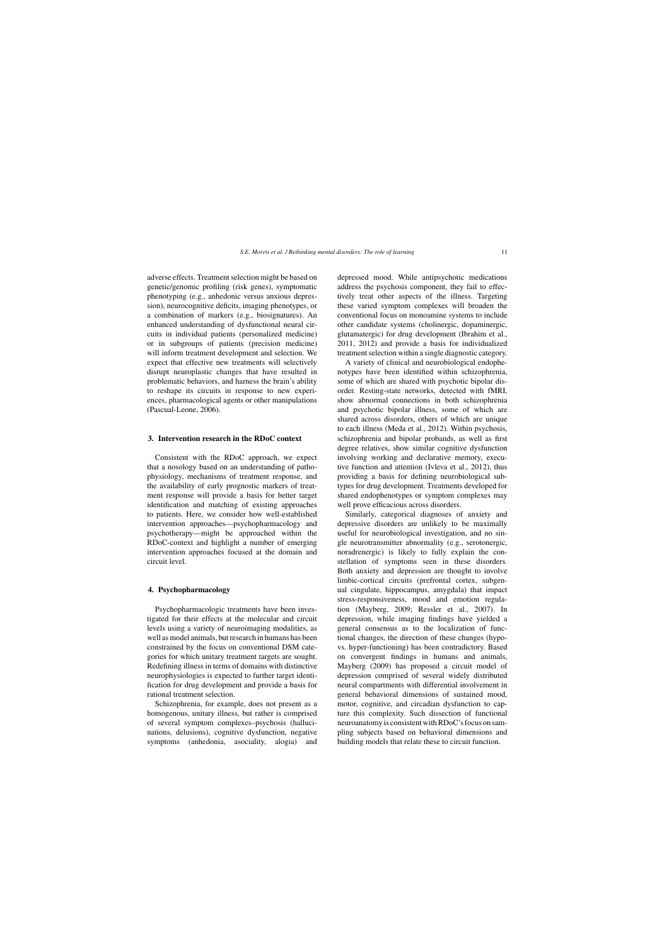adverse effects. Treatment selection might be based on genetic/genomic profiling (risk genes), symptomatic phenotyping (e.g., anhedonic versus anxious depression), neurocognitive deficits, imaging phenotypes, or a combination of markers (e.g., biosignatures). An enhanced understanding of dysfunctional neural circuits in individual patients (personalized medicine) or in subgroups of patients (precision medicine) will inform treatment development and selection. We expect that effective new treatments will selectively disrupt neuroplastic changes that have resulted in problematic behaviors, and harness the brain's ability to reshape its circuits in response to new experiences, pharmacological agents or other manipulations (Pascual-Leone, 2006).

#### **3. Intervention research in the RDoC context**

Consistent with the RDoC approach, we expect that a nosology based on an understanding of pathophysiology, mechanisms of treatment response, and the availability of early prognostic markers of treatment response will provide a basis for better target identification and matching of existing approaches to patients. Here, we consider how well-established intervention approaches—psychopharmacology and psychotherapy—might be approached within the RDoC-context and highlight a number of emerging intervention approaches focused at the domain and circuit level.

#### **4. Psychopharmacology**

Psychopharmacologic treatments have been investigated for their effects at the molecular and circuit levels using a variety of neuroimaging modalities, as well as model animals, but research in humans has been constrained by the focus on conventional DSM categories for which unitary treatment targets are sought. Redefining illness in terms of domains with distinctive neurophysiologies is expected to further target identification for drug development and provide a basis for rational treatment selection.

Schizophrenia, for example, does not present as a homogenous, unitary illness, but rather is comprised of several symptom complexes–psychosis (hallucinations, delusions), cognitive dysfunction, negative symptoms (anhedonia, asociality, alogia) and

depressed mood. While antipsychotic medications address the psychosis component, they fail to effectively treat other aspects of the illness. Targeting these varied symptom complexes will broaden the conventional focus on monoamine systems to include other candidate systems (cholinergic, dopaminergic, glutamatergic) for drug development (Ibrahim et al., 2011, 2012) and provide a basis for individualized treatment selection within a single diagnostic category.

A variety of clinical and neurobiological endophenotypes have been identified within schizophrenia, some of which are shared with psychotic bipolar disorder. Resting-state networks, detected with fMRI, show abnormal connections in both schizophrenia and psychotic bipolar illness, some of which are shared across disorders, others of which are unique to each illness (Meda et al., 2012). Within psychosis, schizophrenia and bipolar probands, as well as first degree relatives, show similar cognitive dysfunction involving working and declarative memory, executive function and attention (Ivleva et al., 2012), thus providing a basis for defining neurobiological subtypes for drug development. Treatments developed for shared endophenotypes or symptom complexes may well prove efficacious across disorders.

Similarly, categorical diagnoses of anxiety and depressive disorders are unlikely to be maximally useful for neurobiological investigation, and no single neurotransmitter abnormality (e.g., serotonergic, noradrenergic) is likely to fully explain the constellation of symptoms seen in these disorders. Both anxiety and depression are thought to involve limbic-cortical circuits (prefrontal cortex, subgenual cingulate, hippocampus, amygdala) that impact stress-responsiveness, mood and emotion regulation (Mayberg, 2009; Ressler et al., 2007). In depression, while imaging findings have yielded a general consensus as to the localization of functional changes, the direction of these changes (hypovs. hyper-functioning) has been contradictory. Based on convergent findings in humans and animals, Mayberg (2009) has proposed a circuit model of depression comprised of several widely distributed neural compartments with differential involvement in general behavioral dimensions of sustained mood, motor, cognitive, and circadian dysfunction to capture this complexity. Such dissection of functional neuroanatomy is consistent with RDoC's focus on sampling subjects based on behavioral dimensions and building models that relate these to circuit function.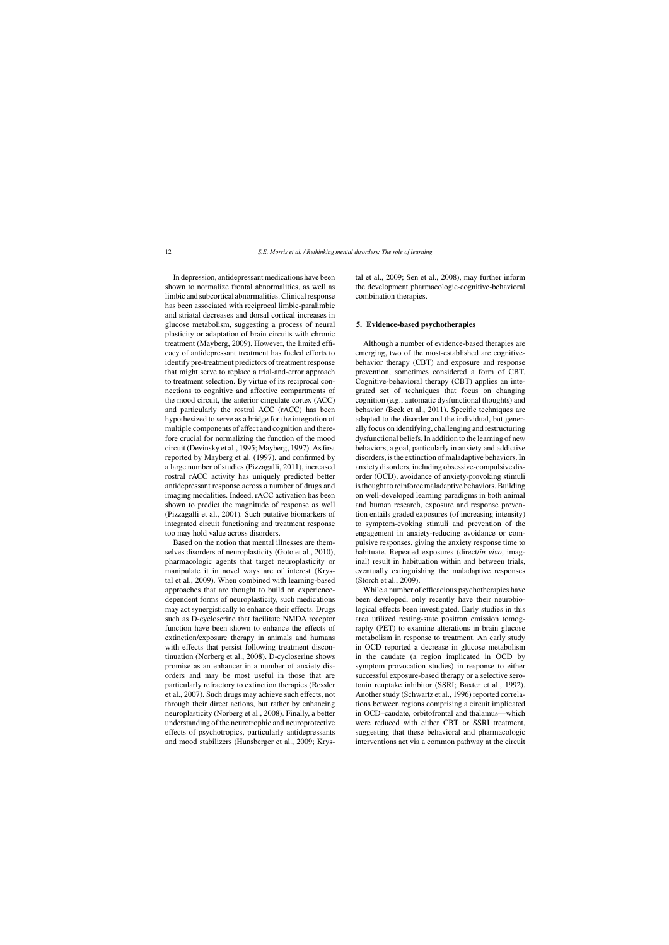In depression, antidepressant medications have been shown to normalize frontal abnormalities, as well as limbic and subcortical abnormalities. Clinical response has been associated with reciprocal limbic-paralimbic and striatal decreases and dorsal cortical increases in glucose metabolism, suggesting a process of neural plasticity or adaptation of brain circuits with chronic treatment (Mayberg, 2009). However, the limited efficacy of antidepressant treatment has fueled efforts to identify pre-treatment predictors of treatment response that might serve to replace a trial-and-error approach to treatment selection. By virtue of its reciprocal connections to cognitive and affective compartments of the mood circuit, the anterior cingulate cortex (ACC) and particularly the rostral ACC (rACC) has been hypothesized to serve as a bridge for the integration of multiple components of affect and cognition and therefore crucial for normalizing the function of the mood circuit (Devinsky et al., 1995; Mayberg, 1997). As first reported by Mayberg et al. (1997), and confirmed by a large number of studies (Pizzagalli, 2011), increased rostral rACC activity has uniquely predicted better antidepressant response across a number of drugs and imaging modalities. Indeed, rACC activation has been shown to predict the magnitude of response as well (Pizzagalli et al., 2001). Such putative biomarkers of integrated circuit functioning and treatment response too may hold value across disorders.

Based on the notion that mental illnesses are themselves disorders of neuroplasticity (Goto et al., 2010), pharmacologic agents that target neuroplasticity or manipulate it in novel ways are of interest (Krystal et al., 2009). When combined with learning-based approaches that are thought to build on experiencedependent forms of neuroplasticity, such medications may act synergistically to enhance their effects. Drugs such as D-cycloserine that facilitate NMDA receptor function have been shown to enhance the effects of extinction/exposure therapy in animals and humans with effects that persist following treatment discontinuation (Norberg et al., 2008). D-cycloserine shows promise as an enhancer in a number of anxiety disorders and may be most useful in those that are particularly refractory to extinction therapies (Ressler et al., 2007). Such drugs may achieve such effects, not through their direct actions, but rather by enhancing neuroplasticity (Norberg et al., 2008). Finally, a better understanding of the neurotrophic and neuroprotective effects of psychotropics, particularly antidepressants and mood stabilizers (Hunsberger et al., 2009; Krystal et al., 2009; Sen et al., 2008), may further inform the development pharmacologic-cognitive-behavioral combination therapies.

#### **5. Evidence-based psychotherapies**

Although a number of evidence-based therapies are emerging, two of the most-established are cognitivebehavior therapy (CBT) and exposure and response prevention, sometimes considered a form of CBT. Cognitive-behavioral therapy (CBT) applies an integrated set of techniques that focus on changing cognition (e.g., automatic dysfunctional thoughts) and behavior (Beck et al., 2011). Specific techniques are adapted to the disorder and the individual, but generally focus on identifying, challenging and restructuring dysfunctional beliefs. In addition to the learning of new behaviors, a goal, particularly in anxiety and addictive disorders, is the extinction of maladaptive behaviors. In anxiety disorders, including obsessive-compulsive disorder (OCD), avoidance of anxiety-provoking stimuli is thought to reinforce maladaptive behaviors. Building on well-developed learning paradigms in both animal and human research, exposure and response prevention entails graded exposures (of increasing intensity) to symptom-evoking stimuli and prevention of the engagement in anxiety-reducing avoidance or compulsive responses, giving the anxiety response time to habituate. Repeated exposures (direct/*in vivo*, imaginal) result in habituation within and between trials, eventually extinguishing the maladaptive responses (Storch et al., 2009).

While a number of efficacious psychotherapies have been developed, only recently have their neurobiological effects been investigated. Early studies in this area utilized resting-state positron emission tomography (PET) to examine alterations in brain glucose metabolism in response to treatment. An early study in OCD reported a decrease in glucose metabolism in the caudate (a region implicated in OCD by symptom provocation studies) in response to either successful exposure-based therapy or a selective serotonin reuptake inhibitor (SSRI; Baxter et al., 1992). Another study (Schwartz et al., 1996) reported correlations between regions comprising a circuit implicated in OCD–caudate, orbitofrontal and thalamus—which were reduced with either CBT or SSRI treatment, suggesting that these behavioral and pharmacologic interventions act via a common pathway at the circuit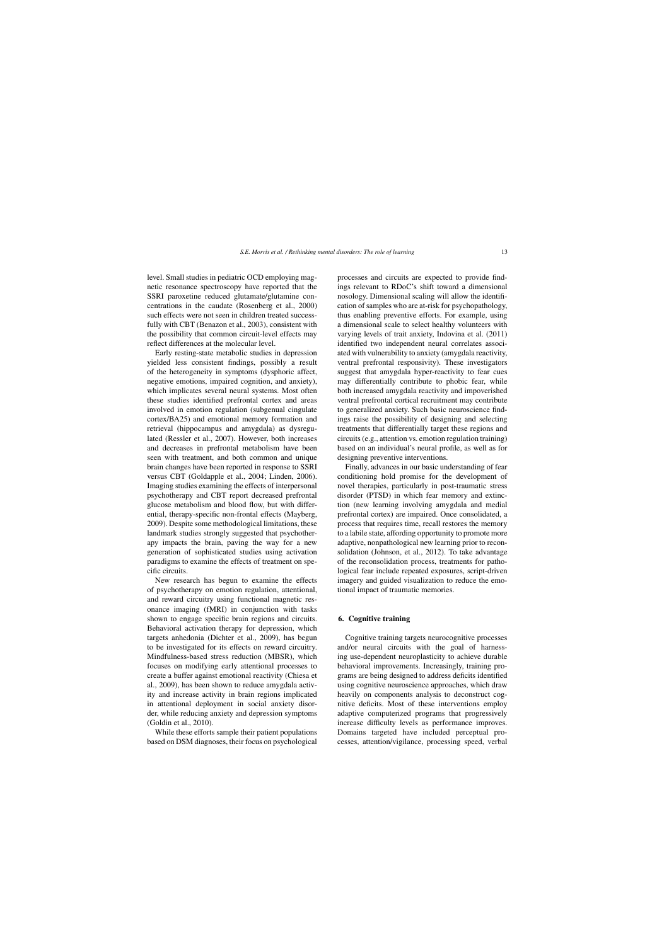level. Small studies in pediatric OCD employing magnetic resonance spectroscopy have reported that the SSRI paroxetine reduced glutamate/glutamine concentrations in the caudate (Rosenberg et al., 2000) such effects were not seen in children treated successfully with CBT (Benazon et al., 2003), consistent with the possibility that common circuit-level effects may reflect differences at the molecular level.

Early resting-state metabolic studies in depression yielded less consistent findings, possibly a result of the heterogeneity in symptoms (dysphoric affect, negative emotions, impaired cognition, and anxiety), which implicates several neural systems. Most often these studies identified prefrontal cortex and areas involved in emotion regulation (subgenual cingulate cortex/BA25) and emotional memory formation and retrieval (hippocampus and amygdala) as dysregulated (Ressler et al., 2007). However, both increases and decreases in prefrontal metabolism have been seen with treatment, and both common and unique brain changes have been reported in response to SSRI versus CBT (Goldapple et al., 2004; Linden, 2006). Imaging studies examining the effects of interpersonal psychotherapy and CBT report decreased prefrontal glucose metabolism and blood flow, but with differential, therapy-specific non-frontal effects (Mayberg, 2009). Despite some methodological limitations, these landmark studies strongly suggested that psychotherapy impacts the brain, paving the way for a new generation of sophisticated studies using activation paradigms to examine the effects of treatment on specific circuits.

New research has begun to examine the effects of psychotherapy on emotion regulation, attentional, and reward circuitry using functional magnetic resonance imaging (fMRI) in conjunction with tasks shown to engage specific brain regions and circuits. Behavioral activation therapy for depression, which targets anhedonia (Dichter et al., 2009), has begun to be investigated for its effects on reward circuitry. Mindfulness-based stress reduction (MBSR), which focuses on modifying early attentional processes to create a buffer against emotional reactivity (Chiesa et al., 2009), has been shown to reduce amygdala activity and increase activity in brain regions implicated in attentional deployment in social anxiety disorder, while reducing anxiety and depression symptoms (Goldin et al., 2010).

While these efforts sample their patient populations based on DSM diagnoses, their focus on psychological

processes and circuits are expected to provide findings relevant to RDoC's shift toward a dimensional nosology. Dimensional scaling will allow the identification of samples who are at-risk for psychopathology, thus enabling preventive efforts. For example, using a dimensional scale to select healthy volunteers with varying levels of trait anxiety, Indovina et al. (2011) identified two independent neural correlates associated with vulnerability to anxiety (amygdala reactivity, ventral prefrontal responsivity). These investigators suggest that amygdala hyper-reactivity to fear cues may differentially contribute to phobic fear, while both increased amygdala reactivity and impoverished ventral prefrontal cortical recruitment may contribute to generalized anxiety. Such basic neuroscience findings raise the possibility of designing and selecting treatments that differentially target these regions and circuits (e.g., attention vs. emotion regulation training) based on an individual's neural profile, as well as for designing preventive interventions.

Finally, advances in our basic understanding of fear conditioning hold promise for the development of novel therapies, particularly in post-traumatic stress disorder (PTSD) in which fear memory and extinction (new learning involving amygdala and medial prefrontal cortex) are impaired. Once consolidated, a process that requires time, recall restores the memory to a labile state, affording opportunity to promote more adaptive, nonpathological new learning prior to reconsolidation (Johnson, et al., 2012). To take advantage of the reconsolidation process, treatments for pathological fear include repeated exposures, script-driven imagery and guided visualization to reduce the emotional impact of traumatic memories.

#### **6. Cognitive training**

Cognitive training targets neurocognitive processes and/or neural circuits with the goal of harnessing use-dependent neuroplasticity to achieve durable behavioral improvements. Increasingly, training programs are being designed to address deficits identified using cognitive neuroscience approaches, which draw heavily on components analysis to deconstruct cognitive deficits. Most of these interventions employ adaptive computerized programs that progressively increase difficulty levels as performance improves. Domains targeted have included perceptual processes, attention/vigilance, processing speed, verbal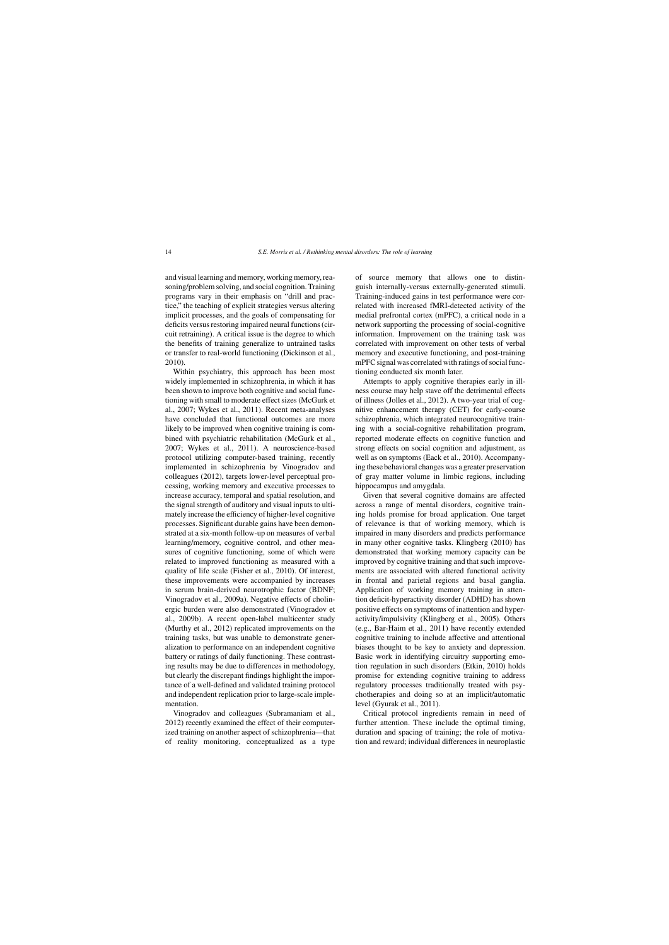and visual learning and memory, working memory, reasoning/problem solving, and social cognition. Training programs vary in their emphasis on "drill and practice," the teaching of explicit strategies versus altering implicit processes, and the goals of compensating for deficits versus restoring impaired neural functions (circuit retraining). A critical issue is the degree to which the benefits of training generalize to untrained tasks or transfer to real-world functioning (Dickinson et al., 2010).

Within psychiatry, this approach has been most widely implemented in schizophrenia, in which it has been shown to improve both cognitive and social functioning with small to moderate effect sizes (McGurk et al., 2007; Wykes et al., 2011). Recent meta-analyses have concluded that functional outcomes are more likely to be improved when cognitive training is combined with psychiatric rehabilitation (McGurk et al., 2007; Wykes et al., 2011). A neuroscience-based protocol utilizing computer-based training, recently implemented in schizophrenia by Vinogradov and colleagues (2012), targets lower-level perceptual processing, working memory and executive processes to increase accuracy, temporal and spatial resolution, and the signal strength of auditory and visual inputs to ultimately increase the efficiency of higher-level cognitive processes. Significant durable gains have been demonstrated at a six-month follow-up on measures of verbal learning/memory, cognitive control, and other measures of cognitive functioning, some of which were related to improved functioning as measured with a quality of life scale (Fisher et al., 2010). Of interest, these improvements were accompanied by increases in serum brain-derived neurotrophic factor (BDNF; Vinogradov et al., 2009a). Negative effects of cholinergic burden were also demonstrated (Vinogradov et al., 2009b). A recent open-label multicenter study (Murthy et al., 2012) replicated improvements on the training tasks, but was unable to demonstrate generalization to performance on an independent cognitive battery or ratings of daily functioning. These contrasting results may be due to differences in methodology, but clearly the discrepant findings highlight the importance of a well-defined and validated training protocol and independent replication prior to large-scale implementation.

Vinogradov and colleagues (Subramaniam et al., 2012) recently examined the effect of their computerized training on another aspect of schizophrenia—that of reality monitoring, conceptualized as a type

of source memory that allows one to distinguish internally-versus externally-generated stimuli. Training-induced gains in test performance were correlated with increased fMRI-detected activity of the medial prefrontal cortex (mPFC), a critical node in a network supporting the processing of social-cognitive information. Improvement on the training task was correlated with improvement on other tests of verbal memory and executive functioning, and post-training mPFC signal was correlated with ratings of social functioning conducted six month later.

Attempts to apply cognitive therapies early in illness course may help stave off the detrimental effects of illness (Jolles et al., 2012). A two-year trial of cognitive enhancement therapy (CET) for early-course schizophrenia, which integrated neurocognitive training with a social-cognitive rehabilitation program, reported moderate effects on cognitive function and strong effects on social cognition and adjustment, as well as on symptoms (Eack et al., 2010). Accompanying these behavioral changes was a greater preservation of gray matter volume in limbic regions, including hippocampus and amygdala.

Given that several cognitive domains are affected across a range of mental disorders, cognitive training holds promise for broad application. One target of relevance is that of working memory, which is impaired in many disorders and predicts performance in many other cognitive tasks. Klingberg (2010) has demonstrated that working memory capacity can be improved by cognitive training and that such improvements are associated with altered functional activity in frontal and parietal regions and basal ganglia. Application of working memory training in attention deficit-hyperactivity disorder (ADHD) has shown positive effects on symptoms of inattention and hyperactivity/impulsivity (Klingberg et al., 2005). Others (e.g., Bar-Haim et al., 2011) have recently extended cognitive training to include affective and attentional biases thought to be key to anxiety and depression. Basic work in identifying circuitry supporting emotion regulation in such disorders (Etkin, 2010) holds promise for extending cognitive training to address regulatory processes traditionally treated with psychotherapies and doing so at an implicit/automatic level (Gyurak et al., 2011).

Critical protocol ingredients remain in need of further attention. These include the optimal timing, duration and spacing of training; the role of motivation and reward; individual differences in neuroplastic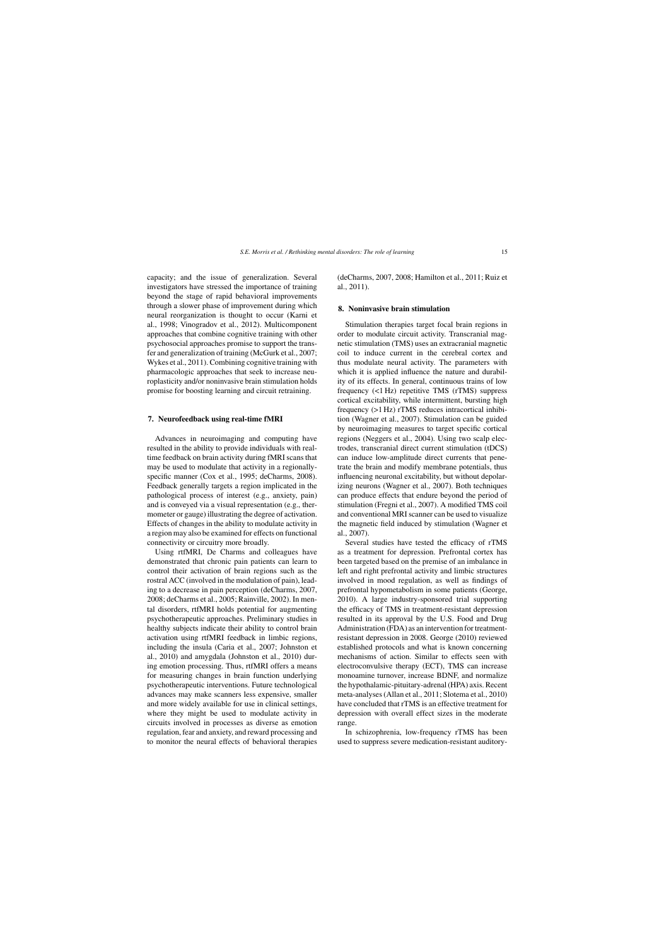capacity; and the issue of generalization. Several investigators have stressed the importance of training beyond the stage of rapid behavioral improvements through a slower phase of improvement during which neural reorganization is thought to occur (Karni et al., 1998; Vinogradov et al., 2012). Multicomponent approaches that combine cognitive training with other psychosocial approaches promise to support the transfer and generalization of training (McGurk et al., 2007; Wykes et al., 2011). Combining cognitive training with pharmacologic approaches that seek to increase neuroplasticity and/or noninvasive brain stimulation holds promise for boosting learning and circuit retraining.

#### **7. Neurofeedback using real-time fMRI**

Advances in neuroimaging and computing have resulted in the ability to provide individuals with realtime feedback on brain activity during fMRI scans that may be used to modulate that activity in a regionallyspecific manner (Cox et al., 1995; deCharms, 2008). Feedback generally targets a region implicated in the pathological process of interest (e.g., anxiety, pain) and is conveyed via a visual representation (e.g., thermometer or gauge) illustrating the degree of activation. Effects of changes in the ability to modulate activity in a region may also be examined for effects on functional connectivity or circuitry more broadly.

Using rtfMRI, De Charms and colleagues have demonstrated that chronic pain patients can learn to control their activation of brain regions such as the rostral ACC (involved in the modulation of pain), leading to a decrease in pain perception (deCharms, 2007, 2008; deCharms et al., 2005; Rainville, 2002). In mental disorders, rtfMRI holds potential for augmenting psychotherapeutic approaches. Preliminary studies in healthy subjects indicate their ability to control brain activation using rtfMRI feedback in limbic regions, including the insula (Caria et al., 2007; Johnston et al., 2010) and amygdala (Johnston et al., 2010) during emotion processing. Thus, rtfMRI offers a means for measuring changes in brain function underlying psychotherapeutic interventions. Future technological advances may make scanners less expensive, smaller and more widely available for use in clinical settings, where they might be used to modulate activity in circuits involved in processes as diverse as emotion regulation, fear and anxiety, and reward processing and to monitor the neural effects of behavioral therapies (deCharms, 2007, 2008; Hamilton et al., 2011; Ruiz et al., 2011).

#### **8. Noninvasive brain stimulation**

Stimulation therapies target focal brain regions in order to modulate circuit activity. Transcranial magnetic stimulation (TMS) uses an extracranial magnetic coil to induce current in the cerebral cortex and thus modulate neural activity. The parameters with which it is applied influence the nature and durability of its effects. In general, continuous trains of low frequency (<1 Hz) repetitive TMS (rTMS) suppress cortical excitability, while intermittent, bursting high frequency (>1 Hz) rTMS reduces intracortical inhibition (Wagner et al., 2007). Stimulation can be guided by neuroimaging measures to target specific cortical regions (Neggers et al., 2004). Using two scalp electrodes, transcranial direct current stimulation (tDCS) can induce low-amplitude direct currents that penetrate the brain and modify membrane potentials, thus influencing neuronal excitability, but without depolarizing neurons (Wagner et al., 2007). Both techniques can produce effects that endure beyond the period of stimulation (Fregni et al., 2007). A modified TMS coil and conventional MRI scanner can be used to visualize the magnetic field induced by stimulation (Wagner et al., 2007).

Several studies have tested the efficacy of rTMS as a treatment for depression. Prefrontal cortex has been targeted based on the premise of an imbalance in left and right prefrontal activity and limbic structures involved in mood regulation, as well as findings of prefrontal hypometabolism in some patients (George, 2010). A large industry-sponsored trial supporting the efficacy of TMS in treatment-resistant depression resulted in its approval by the U.S. Food and Drug Administration (FDA) as an intervention for treatmentresistant depression in 2008. George (2010) reviewed established protocols and what is known concerning mechanisms of action. Similar to effects seen with electroconvulsive therapy (ECT), TMS can increase monoamine turnover, increase BDNF, and normalize the hypothalamic-pituitary-adrenal (HPA) axis. Recent meta-analyses (Allan et al., 2011; Slotema et al., 2010) have concluded that rTMS is an effective treatment for depression with overall effect sizes in the moderate range.

In schizophrenia, low-frequency rTMS has been used to suppress severe medication-resistant auditory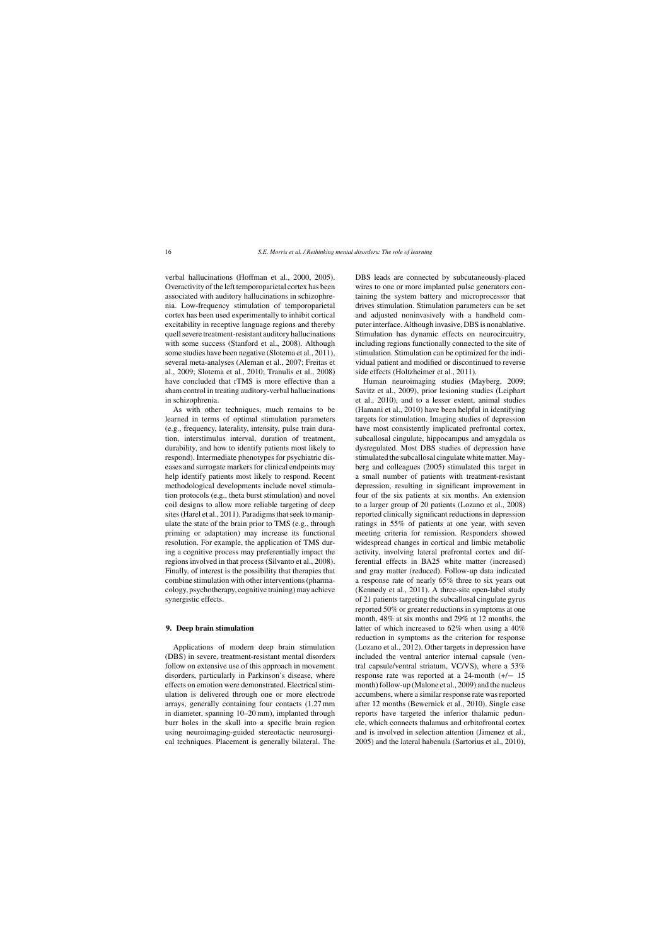verbal hallucinations (Hoffman et al., 2000, 2005). Overactivity of the left temporoparietal cortex has been associated with auditory hallucinations in schizophrenia. Low-frequency stimulation of temporoparietal cortex has been used experimentally to inhibit cortical excitability in receptive language regions and thereby quell severe treatment-resistant auditory hallucinations with some success (Stanford et al., 2008). Although some studies have been negative (Slotema et al., 2011), several meta-analyses (Aleman et al., 2007; Freitas et al., 2009; Slotema et al., 2010; Tranulis et al., 2008) have concluded that rTMS is more effective than a sham control in treating auditory-verbal hallucinations in schizophrenia.

As with other techniques, much remains to be learned in terms of optimal stimulation parameters (e.g., frequency, laterality, intensity, pulse train duration, interstimulus interval, duration of treatment, durability, and how to identify patients most likely to respond). Intermediate phenotypes for psychiatric diseases and surrogate markers for clinical endpoints may help identify patients most likely to respond. Recent methodological developments include novel stimulation protocols (e.g., theta burst stimulation) and novel coil designs to allow more reliable targeting of deep sites (Harel et al., 2011). Paradigms that seek to manipulate the state of the brain prior to TMS (e.g., through priming or adaptation) may increase its functional resolution. For example, the application of TMS during a cognitive process may preferentially impact the regions involved in that process (Silvanto et al., 2008). Finally, of interest is the possibility that therapies that combine stimulation with other interventions (pharmacology, psychotherapy, cognitive training) may achieve synergistic effects.

#### **9. Deep brain stimulation**

Applications of modern deep brain stimulation (DBS) in severe, treatment-resistant mental disorders follow on extensive use of this approach in movement disorders, particularly in Parkinson's disease, where effects on emotion were demonstrated. Electrical stimulation is delivered through one or more electrode arrays, generally containing four contacts (1.27 mm in diameter, spanning 10–20 mm), implanted through burr holes in the skull into a specific brain region using neuroimaging-guided stereotactic neurosurgical techniques. Placement is generally bilateral. The

DBS leads are connected by subcutaneously-placed wires to one or more implanted pulse generators containing the system battery and microprocessor that drives stimulation. Stimulation parameters can be set and adjusted noninvasively with a handheld computer interface. Although invasive, DBS is nonablative. Stimulation has dynamic effects on neurocircuitry, including regions functionally connected to the site of stimulation. Stimulation can be optimized for the individual patient and modified or discontinued to reverse side effects (Holtzheimer et al., 2011).

Human neuroimaging studies (Mayberg, 2009; Savitz et al., 2009), prior lesioning studies (Leiphart et al., 2010), and to a lesser extent, animal studies (Hamani et al., 2010) have been helpful in identifying targets for stimulation. Imaging studies of depression have most consistently implicated prefrontal cortex, subcallosal cingulate, hippocampus and amygdala as dysregulated. Most DBS studies of depression have stimulated the subcallosal cingulate white matter. Mayberg and colleagues (2005) stimulated this target in a small number of patients with treatment-resistant depression, resulting in significant improvement in four of the six patients at six months. An extension to a larger group of 20 patients (Lozano et al., 2008) reported clinically significant reductions in depression ratings in 55% of patients at one year, with seven meeting criteria for remission. Responders showed widespread changes in cortical and limbic metabolic activity, involving lateral prefrontal cortex and differential effects in BA25 white matter (increased) and gray matter (reduced). Follow-up data indicated a response rate of nearly 65% three to six years out (Kennedy et al., 2011). A three-site open-label study of 21 patients targeting the subcallosal cingulate gyrus reported 50% or greater reductions in symptoms at one month, 48% at six months and 29% at 12 months, the latter of which increased to 62% when using a 40% reduction in symptoms as the criterion for response (Lozano et al., 2012). Other targets in depression have included the ventral anterior internal capsule (ventral capsule/ventral striatum, VC/VS), where a 53% response rate was reported at a 24-month (+/− 15 month) follow-up (Malone et al., 2009) and the nucleus accumbens, where a similar response rate was reported after 12 months (Bewernick et al., 2010). Single case reports have targeted the inferior thalamic peduncle, which connects thalamus and orbitofrontal cortex and is involved in selection attention (Jimenez et al., 2005) and the lateral habenula (Sartorius et al., 2010),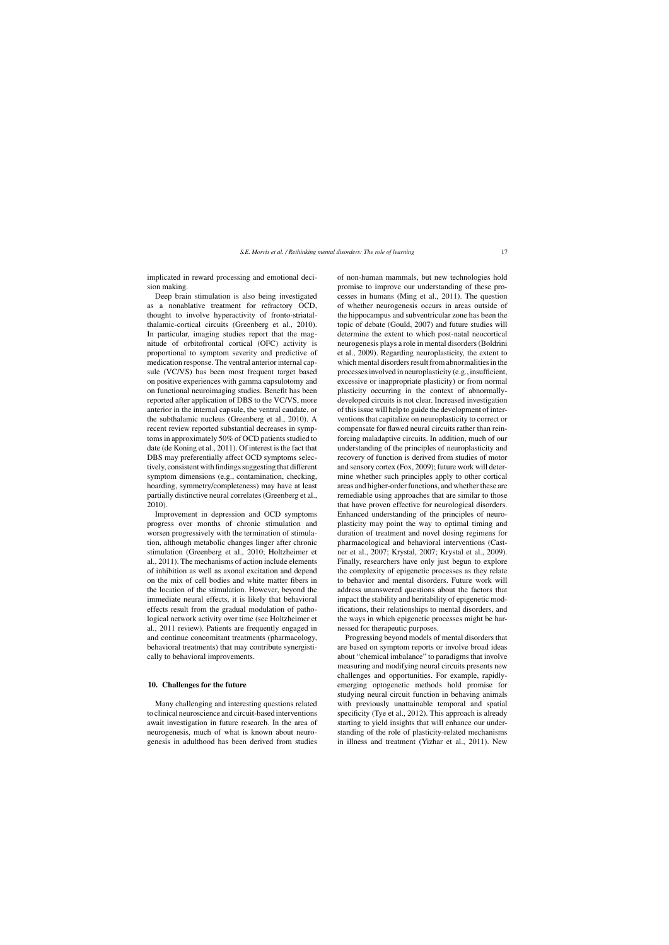implicated in reward processing and emotional decision making.

Deep brain stimulation is also being investigated as a nonablative treatment for refractory OCD, thought to involve hyperactivity of fronto-striatalthalamic-cortical circuits (Greenberg et al., 2010). In particular, imaging studies report that the magnitude of orbitofrontal cortical (OFC) activity is proportional to symptom severity and predictive of medication response. The ventral anterior internal capsule (VC/VS) has been most frequent target based on positive experiences with gamma capsulotomy and on functional neuroimaging studies. Benefit has been reported after application of DBS to the VC/VS, more anterior in the internal capsule, the ventral caudate, or the subthalamic nucleus (Greenberg et al., 2010). A recent review reported substantial decreases in symptoms in approximately 50% of OCD patients studied to date (de Koning et al., 2011). Of interest is the fact that DBS may preferentially affect OCD symptoms selectively, consistent with findings suggesting that different symptom dimensions (e.g., contamination, checking, hoarding, symmetry/completeness) may have at least partially distinctive neural correlates (Greenberg et al., 2010).

Improvement in depression and OCD symptoms progress over months of chronic stimulation and worsen progressively with the termination of stimulation, although metabolic changes linger after chronic stimulation (Greenberg et al., 2010; Holtzheimer et al., 2011). The mechanisms of action include elements of inhibition as well as axonal excitation and depend on the mix of cell bodies and white matter fibers in the location of the stimulation. However, beyond the immediate neural effects, it is likely that behavioral effects result from the gradual modulation of pathological network activity over time (see Holtzheimer et al., 2011 review). Patients are frequently engaged in and continue concomitant treatments (pharmacology, behavioral treatments) that may contribute synergistically to behavioral improvements.

## **10. Challenges for the future**

Many challenging and interesting questions related to clinical neuroscience and circuit-based interventions await investigation in future research. In the area of neurogenesis, much of what is known about neurogenesis in adulthood has been derived from studies

of non-human mammals, but new technologies hold promise to improve our understanding of these processes in humans (Ming et al., 2011). The question of whether neurogenesis occurs in areas outside of the hippocampus and subventricular zone has been the topic of debate (Gould, 2007) and future studies will determine the extent to which post-natal neocortical neurogenesis plays a role in mental disorders (Boldrini et al., 2009). Regarding neuroplasticity, the extent to which mental disorders result from abnormalities in the processes involved in neuroplasticity (e.g., insufficient, excessive or inappropriate plasticity) or from normal plasticity occurring in the context of abnormallydeveloped circuits is not clear. Increased investigation of this issue will help to guide the development of interventions that capitalize on neuroplasticity to correct or compensate for flawed neural circuits rather than reinforcing maladaptive circuits. In addition, much of our understanding of the principles of neuroplasticity and recovery of function is derived from studies of motor and sensory cortex (Fox, 2009); future work will determine whether such principles apply to other cortical areas and higher-order functions, and whether these are remediable using approaches that are similar to those that have proven effective for neurological disorders. Enhanced understanding of the principles of neuroplasticity may point the way to optimal timing and duration of treatment and novel dosing regimens for pharmacological and behavioral interventions (Castner et al., 2007; Krystal, 2007; Krystal et al., 2009). Finally, researchers have only just begun to explore the complexity of epigenetic processes as they relate to behavior and mental disorders. Future work will address unanswered questions about the factors that impact the stability and heritability of epigenetic modifications, their relationships to mental disorders, and the ways in which epigenetic processes might be harnessed for therapeutic purposes.

Progressing beyond models of mental disorders that are based on symptom reports or involve broad ideas about "chemical imbalance" to paradigms that involve measuring and modifying neural circuits presents new challenges and opportunities. For example, rapidlyemerging optogenetic methods hold promise for studying neural circuit function in behaving animals with previously unattainable temporal and spatial specificity (Tye et al., 2012). This approach is already starting to yield insights that will enhance our understanding of the role of plasticity-related mechanisms in illness and treatment (Yizhar et al., 2011). New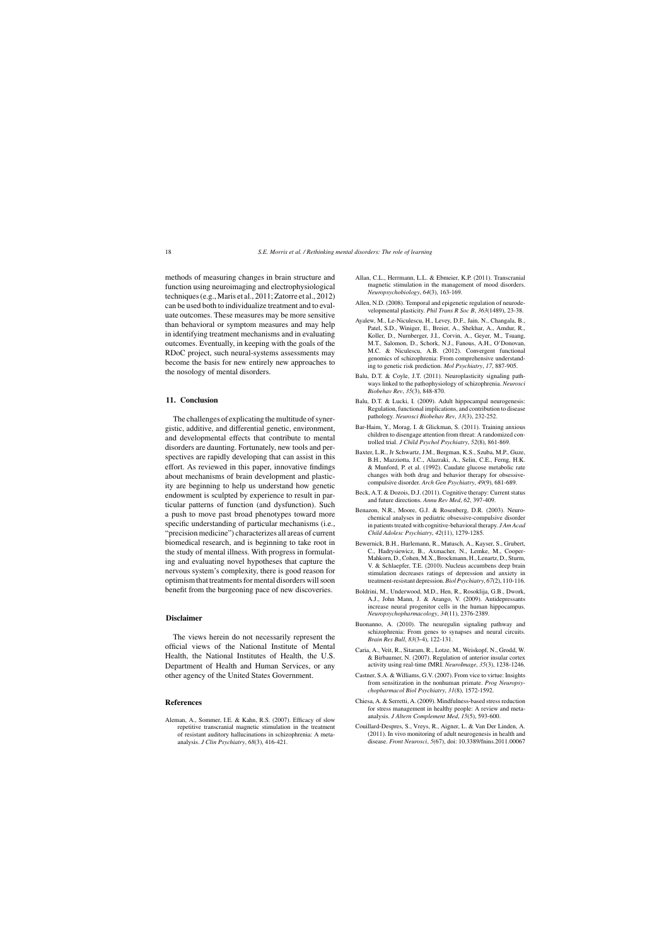methods of measuring changes in brain structure and function using neuroimaging and electrophysiological techniques (e.g., Maris et al., 2011; Zatorre et al., 2012) can be used both to individualize treatment and to evaluate outcomes. These measures may be more sensitive than behavioral or symptom measures and may help in identifying treatment mechanisms and in evaluating outcomes. Eventually, in keeping with the goals of the RDoC project, such neural-systems assessments may become the basis for new entirely new approaches to the nosology of mental disorders.

## **11. Conclusion**

The challenges of explicating the multitude of synergistic, additive, and differential genetic, environment, and developmental effects that contribute to mental disorders are daunting. Fortunately, new tools and perspectives are rapidly developing that can assist in this effort. As reviewed in this paper, innovative findings about mechanisms of brain development and plasticity are beginning to help us understand how genetic endowment is sculpted by experience to result in particular patterns of function (and dysfunction). Such a push to move past broad phenotypes toward more specific understanding of particular mechanisms (i.e., "precision medicine") characterizes all areas of current biomedical research, and is beginning to take root in the study of mental illness. With progress in formulating and evaluating novel hypotheses that capture the nervous system's complexity, there is good reason for optimism that treatments for mental disorders will soon benefit from the burgeoning pace of new discoveries.

## **Disclaimer**

The views herein do not necessarily represent the official views of the National Institute of Mental Health, the National Institutes of Health, the U.S. Department of Health and Human Services, or any other agency of the United States Government.

#### **References**

Aleman, A., Sommer, I.E. & Kahn, R.S. (2007). Efficacy of slow repetitive transcranial magnetic stimulation in the treatment of resistant auditory hallucinations in schizophrenia: A metaanalysis. *J Clin Psychiatry*, *68*(3), 416-421.

- Allan, C.L., Herrmann, L.L. & Ebmeier, K.P. (2011). Transcranial magnetic stimulation in the management of mood disorders. *Neuropsychobiology*, *64*(3), 163-169.
- Allen, N.D. (2008). Temporal and epigenetic regulation of neurodevelopmental plasticity. *Phil Trans R Soc B*, *363*(1489), 23-38.
- Ayalew, M., Le-Niculescu, H., Levey, D.F., Jain, N., Changala, B., Patel, S.D., Winiger, E., Breier, A., Shekhar, A., Amdur, R., Koller, D., Nurnberger, J.I., Corvin, A., Geyer, M., Tsuang, M.T., Salomon, D., Schork, N.J., Fanous, A.H., O'Donovan, M.C. & Niculescu, A.B. (2012). Convergent functional genomics of schizophrenia: From comprehensive understanding to genetic risk prediction. *Mol Psychiatry*, *17*, 887-905.
- Balu, D.T. & Coyle, J.T. (2011). Neuroplasticity signaling pathways linked to the pathophysiology of schizophrenia. *Neurosci Biobehav Rev*, *35*(3), 848-870.
- Balu, D.T. & Lucki, I. (2009). Adult hippocampal neurogenesis: Regulation, functional implications, and contribution to disease pathology. *Neurosci Biobehav Rev*, *33*(3), 232-252.
- Bar-Haim, Y., Morag, I. & Glickman, S. (2011). Training anxious children to disengage attention from threat: A randomized controlled trial. *J Child Psychol Psychiatry*, *52*(8), 861-869.
- Baxter, L.R., Jr Schwartz, J.M., Bergman, K.S., Szuba, M.P., Guze, B.H., Mazziotta, J.C., Alazraki, A., Selin, C.E., Ferng, H.K. & Munford, P. et al. (1992). Caudate glucose metabolic rate changes with both drug and behavior therapy for obsessivecompulsive disorder. *Arch Gen Psychiatry*, *49*(9), 681-689.
- Beck, A.T. & Dozois, D.J. (2011). Cognitive therapy: Current status and future directions. *Annu Rev Med*, *62*, 397-409.
- Benazon, N.R., Moore, G.J. & Rosenberg, D.R. (2003). Neurochemical analyses in pediatric obsessive-compulsive disorder in patients treated with cognitive-behavioral therapy. *J Am Acad Child Adolesc Psychiatry*, *42*(11), 1279-1285.
- Bewernick, B.H., Hurlemann, R., Matusch, A., Kayser, S., Grubert, C., Hadrysiewicz, B., Axmacher, N., Lemke, M., Cooper-Mahkorn, D., Cohen, M.X., Brockmann, H., Lenartz, D., Sturm, V. & Schlaepfer, T.E. (2010). Nucleus accumbens deep brain stimulation decreases ratings of depression and anxiety in treatment-resistant depression.*Biol Psychiatry*, *67*(2), 110-116.
- Boldrini, M., Underwood, M.D., Hen, R., Rosoklija, G.B., Dwork, A.J., John Mann, J. & Arango, V. (2009). Antidepressants increase neural progenitor cells in the human hippocampus. *Neuropsychopharmacology*, *34*(11), 2376-2389.
- Buonanno, A. (2010). The neuregulin signaling pathway and schizophrenia: From genes to synapses and neural circuits. *Brain Res Bull*, *83*(3-4), 122-131.
- Caria, A., Veit, R., Sitaram, R., Lotze, M., Weiskopf, N., Grodd, W. & Birbaumer, N. (2007). Regulation of anterior insular cortex activity using real-time fMRI. *NeuroImage*, *35*(3), 1238-1246.
- Castner, S.A. & Williams, G.V. (2007). From vice to virtue: Insights from sensitization in the nonhuman primate. *Prog Neuropsychopharmacol Biol Psychiatry*, *31*(8), 1572-1592.
- Chiesa, A. & Serretti, A. (2009). Mindfulness-based stress reduction for stress management in healthy people: A review and metaanalysis. *J Altern Complement Med*, *15*(5), 593-600.
- Couillard-Despres, S., Vreys, R., Aigner, L. & Van Der Linden, A. (2011). In vivo monitoring of adult neurogenesis in health and disease. *Front Neurosci*, *5*(67), doi: 10.3389/fnins.2011.00067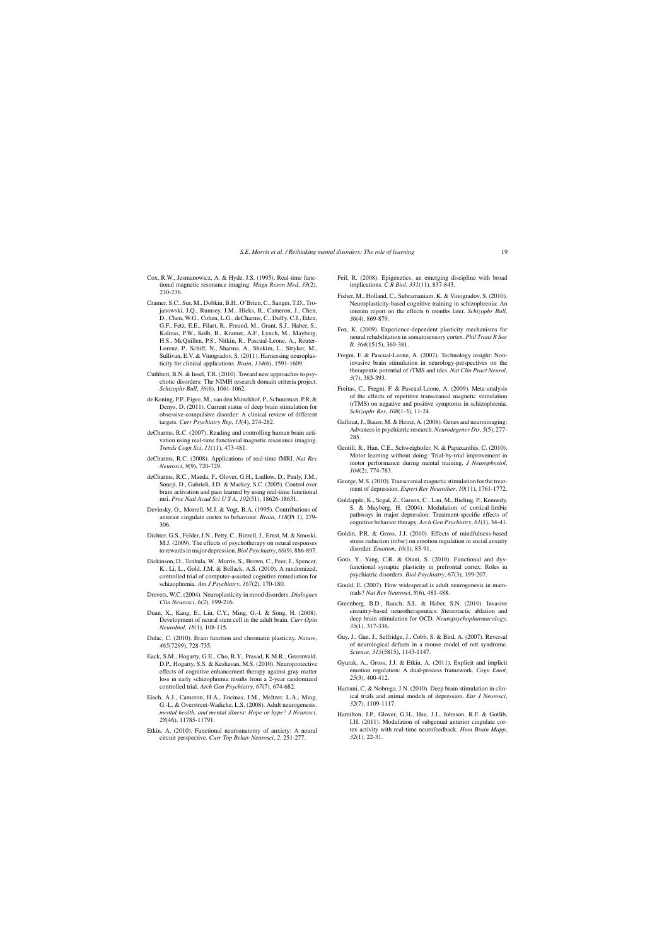- Cox, R.W., Jesmanowicz, A. & Hyde, J.S. (1995). Real-time functional magnetic resonance imaging. *Magn Reson Med*, *33*(2), 230-236.
- Cramer, S.C., Sur, M., Dobkin, B.H., O'Brien, C., Sanger, T.D., Trojanowski, J.Q., Rumsey, J.M., Hicks, R., Cameron, J., Chen, D., Chen, W.G., Cohen, L.G., deCharms, C., Duffy, C.J., Eden, G.F., Fetz, E.E., Filart, R., Freund, M., Grant, S.J., Haber, S., Kalivas, P.W., Kolb, B., Kramer, A.F., Lynch, M., Mayberg, H.S., McQuillen, P.S., Nitkin, R., Pascual-Leone, A., Reuter-Lorenz, P., Schiff, N., Sharma, A., Shekim, L., Stryker, M., Sullivan, E.V. & Vinogradov, S. (2011). Harnessing neuroplasticity for clinical applications. *Brain*, *134*(6), 1591-1609.
- Cuthbert, B.N. & Insel, T.R. (2010). Toward new approaches to psychotic disorders: The NIMH research domain criteria project. *Schizophr Bull*, *36*(6), 1061-1062.
- de Koning, P.P., Figee, M., van den Munckhof, P., Schuurman, P.R. & Denys, D. (2011). Current status of deep brain stimulation for obsessive-compulsive disorder: A clinical review of different targets. *Curr Psychiatry Rep*, *13*(4), 274-282.
- deCharms, R.C. (2007). Reading and controlling human brain activation using real-time functional magnetic resonance imaging. *Trends Cogn Sci*, *11*(11), 473-481.
- deCharms, R.C. (2008). Applications of real-time fMRI. *Nat Rev Neurosci*, *9*(9), 720-729.
- deCharms, R.C., Maeda, F., Glover, G.H., Ludlow, D., Pauly, J.M., Soneji, D., Gabrieli, J.D. & Mackey, S.C. (2005). Control over brain activation and pain learned by using real-time functional mri. *Proc Natl Acad SciUSA*, *102*(51), 18626-18631.
- Devinsky, O., Morrell, M.J. & Vogt, B.A. (1995). Contributions of anterior cingulate cortex to behaviour. *Brain*, *118*(Pt 1), 279- 306.
- Dichter, G.S., Felder, J.N., Petty, C., Bizzell, J., Ernst, M. & Smoski, M.J. (2009). The effects of psychotherapy on neural responses to rewards in major depression.*Biol Psychiatry*, *66*(9), 886-897.
- Dickinson, D., Tenhula, W., Morris, S., Brown, C., Peer, J., Spencer, K., Li, L., Gold, J.M. & Bellack, A.S. (2010). A randomized, controlled trial of computer-assisted cognitive remediation for schizophrenia. *Am J Psychiatry*, *167*(2), 170-180.
- Drevets, W.C. (2004). Neuroplasticity in mood disorders. *Dialogues Clin Neurosci*, *6*(2), 199-216.
- Duan, X., Kang, E., Liu, C.Y., Ming, G.-l. & Song, H. (2008). Development of neural stem cell in the adult brain. *Curr Opin Neurobiol*, *18*(1), 108-115.
- Dulac, C. (2010). Brain function and chromatin plasticity. *Nature*, *465*(7299), 728-735.
- Eack, S.M., Hogarty, G.E., Cho, R.Y., Prasad, K.M.R., Greenwald, D.P., Hogarty, S.S. & Keshavan, M.S. (2010). Neuroprotective effects of cognitive enhancement therapy against gray matter loss in early schizophrenia results from a 2-year randomized controlled trial. *Arch Gen Psychiatry*, *67*(7), 674-682.
- Eisch, A.J., Cameron, H.A., Encinas, J.M., Meltzer, L.A., Ming, G.-L. & Overstreet-Wadiche, L.S. (2008). Adult neurogenesis. *mental health, and mental illness: Hope or hype? J Neurosci*, *28*(46), 11785-11791.
- Etkin, A. (2010). Functional neuroanatomy of anxiety: A neural circuit perspective. *Curr Top Behav Neurosci*, *2*, 251-277.
- Feil, R. (2008). Epigenetics, an emerging discipline with broad implications. *C R Biol*, *331*(11), 837-843.
- Fisher, M., Holland, C., Subramaniam, K. & Vinogradov, S. (2010). Neuroplasticity-based cognitive training in schizophrenia: An interim report on the effects 6 months later. *Schizophr Bull*, *36*(4), 869-879.
- Fox, K. (2009). Experience-dependent plasticity mechanisms for neural rehabilitation in somatosensory cortex. *Phil Trans R Soc B*, *364*(1515), 369-381.
- Fregni, F. & Pascual-Leone, A. (2007). Technology insight: Noninvasive brain stimulation in neurology-perspectives on the therapeutic potential of rTMS and tdcs. *Nat Clin Pract Neurol*, *3*(7), 383-393.
- Freitas, C., Fregni, F. & Pascual-Leone, A. (2009). Meta-analysis of the effects of repetitive transcranial magnetic stimulation (rTMS) on negative and positive symptoms in schizophrenia. *Schizophr Res*, *108*(1-3), 11-24.
- Gallinat, J., Bauer, M. & Heinz, A. (2008). Genes and neuroimaging: Advances in psychiatric research. *Neurodegener Dis*, *5*(5), 277- 285.
- Gentili, R., Han, C.E., Schweighofer, N. & Papaxanthis, C. (2010). Motor learning without doing: Trial-by-trial improvement in motor performance during mental training. *J Neurophysiol*, *104*(2), 774-783.
- George, M.S. (2010). Transcranial magnetic stimulation for the treatment of depression. *Expert Rev Neurother*, *10*(11), 1761-1772.
- Goldapple, K., Segal, Z., Garson, C., Lau, M., Bieling, P., Kennedy, S. & Mayberg, H. (2004). Modulation of cortical-limbic pathways in major depression: Treatment-specific effects of cognitive behavior therapy. *Arch Gen Psychiatry*, *61*(1), 34-41.
- Goldin, P.R. & Gross, J.J. (2010). Effects of mindfulness-based stress reduction (mbsr) on emotion regulation in social anxiety disorder. *Emotion*, *10*(1), 83-91.
- Goto, Y., Yang, C.R. & Otani, S. (2010). Functional and dysfunctional synaptic plasticity in prefrontal cortex: Roles in psychiatric disorders. *Biol Psychiatry*, *67*(3), 199-207.
- Gould, E. (2007). How widespread is adult neurogenesis in mammals? *Nat Rev Neurosci*, *8*(6), 481-488.
- Greenberg, B.D., Rauch, S.L. & Haber, S.N. (2010). Invasive circuitry-based neurotherapeutics: Stereotactic ablation and deep brain stimulation for OCD. *Neuropsychopharmacology*, *35*(1), 317-336.
- Guy, J., Gan, J., Selfridge, J., Cobb, S. & Bird, A. (2007). Reversal of neurological defects in a mouse model of rett syndrome. *Science*, *315*(5815), 1143-1147.
- Gyurak, A., Gross, J.J. & Etkin, A. (2011). Explicit and implicit emotion regulation: A dual-process framework. *Cogn Emot*, *25*(3), 400-412.
- Hamani, C. & Nobrega, J.N. (2010). Deep brain stimulation in clinical trials and animal models of depression. *Eur J Neurosci*, *32*(7), 1109-1117.
- Hamilton, J.P., Glover, G.H., Hsu, J.J., Johnson, R.F. & Gotlib, I.H. (2011). Modulation of subgenual anterior cingulate cortex activity with real-time neurofeedback. *Hum Brain Mapp*, *32*(1), 22-31.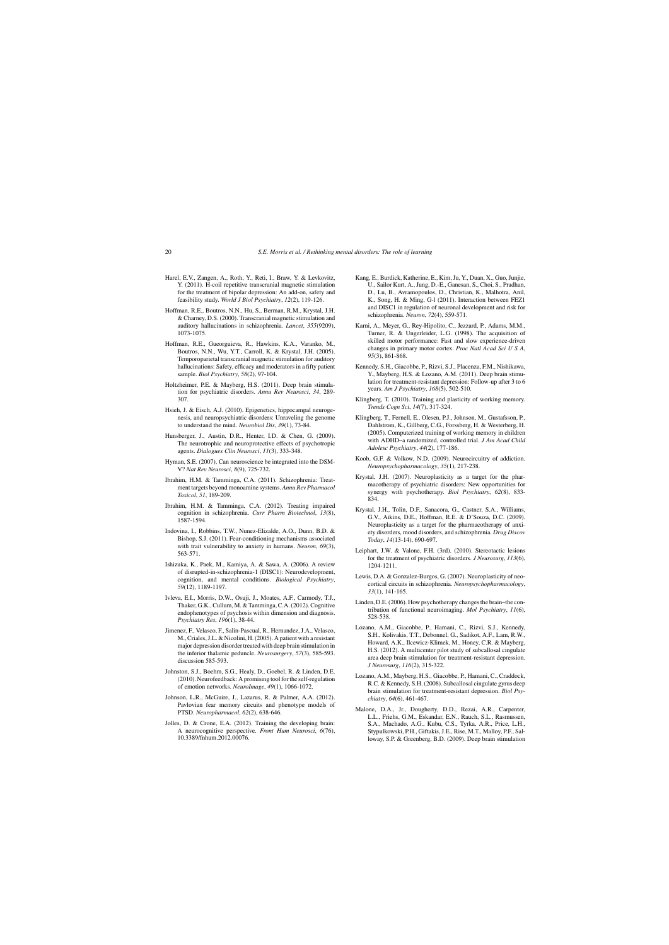- Harel, E.V., Zangen, A., Roth, Y., Reti, I., Braw, Y. & Levkovitz, Y. (2011). H-coil repetitive transcranial magnetic stimulation for the treatment of bipolar depression: An add-on, safety and feasibility study. *World J Biol Psychiatry*, *12*(2), 119-126.
- Hoffman, R.E., Boutros, N.N., Hu, S., Berman, R.M., Krystal, J.H. & Charney, D.S. (2000). Transcranial magnetic stimulation and auditory hallucinations in schizophrenia. *Lancet*, *355*(9209), 1073-1075.
- Hoffman, R.E., Gueorguieva, R., Hawkins, K.A., Varanko, M., Boutros, N.N., Wu, Y.T., Carroll, K. & Krystal, J.H. (2005). Temporoparietal transcranial magnetic stimulation for auditory hallucinations: Safety, efficacy and moderators in a fifty patient sample. *Biol Psychiatry*, *58*(2), 97-104.
- Holtzheimer, P.E. & Mayberg, H.S. (2011). Deep brain stimulation for psychiatric disorders. *Annu Rev Neurosci*, *34*, 289- 307.
- Hsieh, J. & Eisch, A.J. (2010). Epigenetics, hippocampal neurogenesis, and neuropsychiatric disorders: Unraveling the genome to understand the mind. *Neurobiol Dis*, *39*(1), 73-84.
- Hunsberger, J., Austin, D.R., Henter, I.D. & Chen, G. (2009). The neurotrophic and neuroprotective effects of psychotropic agents. *Dialogues Clin Neurosci*, *11*(3), 333-348.
- Hyman, S.E. (2007). Can neuroscience be integrated into the DSM-V? *Nat Rev Neurosci*, *8*(9), 725-732.
- Ibrahim, H.M. & Tamminga, C.A. (2011). Schizophrenia: Treatment targets beyond monoamine systems. *Annu Rev Pharmacol Toxicol*, *51*, 189-209.
- Ibrahim, H.M. & Tamminga, C.A. (2012). Treating impaired cognition in schizophrenia. *Curr Pharm Biotechnol*, *13*(8), 1587-1594.
- Indovina, I., Robbins, T.W., Nunez-Elizalde, A.O., Dunn, B.D. & Bishop, S.J. (2011). Fear-conditioning mechanisms associated with trait vulnerability to anxiety in humans. *Neuron*, *69*(3), 563-571.
- Ishizuka, K., Paek, M., Kamiya, A. & Sawa, A. (2006). A review of disrupted-in-schizophrenia-1 (DISC1): Neurodevelopment, cognition, and mental conditions. *Biological Psychiatry*, *59*(12), 1189-1197.
- Ivleva, E.I., Morris, D.W., Osuji, J., Moates, A.F., Carmody, T.J., Thaker, G.K., Cullum, M. & Tamminga, C.A. (2012). Cognitive endophenotypes of psychosis within dimension and diagnosis. *Psychiatry Res*, *196*(1), 38-44.
- Jimenez, F., Velasco, F., Salin-Pascual, R., Hernandez, J.A., Velasco, M., Criales, J.L. & Nicolini, H. (2005). A patient with a resistant major depression disorder treated with deep brain stimulation in the inferior thalamic peduncle. *Neurosurgery*, *57*(3), 585-593. discussion 585-593.
- Johnston, S.J., Boehm, S.G., Healy, D., Goebel, R. & Linden, D.E. (2010). Neurofeedback: A promising tool for the self-regulation of emotion networks. *NeuroImage*, *49*(1), 1066-1072.
- Johnson, L.R., McGuire, J., Lazarus, R. & Palmer, A.A. (2012). Pavlovian fear memory circuits and phenotype models of PTSD. *Neuropharmacol*, *62*(2), 638-646.
- Jolles, D. & Crone, E.A. (2012). Training the developing brain: A neurocognitive perspective. *Front Hum Neurosci*, *6*(76), 10.3389/fnhum.2012.00076.
- Kang, E., Burdick, Katherine, E., Kim, Ju, Y., Duan, X., Guo, Junjie, U., Sailor Kurt, A., Jung, D.-E., Ganesan, S., Choi, S., Pradhan, D., Lu, B., Avramopoulos, D., Christian, K., Malhotra, Anil, K., Song, H. & Ming, G-l (2011). Interaction between FEZ1 and DISC1 in regulation of neuronal development and risk for schizophrenia. *Neuron*, *72*(4), 559-571.
- Karni, A., Meyer, G., Rey-Hipolito, C., Jezzard, P., Adams, M.M., Turner, R. & Ungerleider, L.G. (1998). The acquisition of skilled motor performance: Fast and slow experience-driven changes in primary motor cortex. *Proc Natl Acad Sci U S A*, *95*(3), 861-868.
- Kennedy, S.H., Giacobbe, P., Rizvi, S.J., Placenza, F.M., Nishikawa, Y., Mayberg, H.S. & Lozano, A.M. (2011). Deep brain stimulation for treatment-resistant depression: Follow-up after 3 to 6 years. *Am J Psychiatry*, *168*(5), 502-510.
- Klingberg, T. (2010). Training and plasticity of working memory. *Trends Cogn Sci*, *14*(7), 317-324.
- Klingberg, T., Fernell, E., Olesen, P.J., Johnson, M., Gustafsson, P., Dahlstrom, K., Gillberg, C.G., Forssberg, H. & Westerberg, H. (2005). Computerized training of working memory in children with ADHD–a randomized, controlled trial. *J Am Acad Child Adolesc Psychiatry*, *44*(2), 177-186.
- Koob, G.F. & Volkow, N.D. (2009). Neurocircuitry of addiction. *Neuropsychopharmacology*, *35*(1), 217-238.
- Krystal, J.H. (2007). Neuroplasticity as a target for the pharmacotherapy of psychiatric disorders: New opportunities for synergy with psychotherapy. *Biol Psychiatry*, *62*(8), 833- 834.
- Krystal, J.H., Tolin, D.F., Sanacora, G., Castner, S.A., Williams, G.V., Aikins, D.E., Hoffman, R.E. & D'Souza, D.C. (2009). Neuroplasticity as a target for the pharmacotherapy of anxiety disorders, mood disorders, and schizophrenia. *Drug Discov Today*, *14*(13-14), 690-697.
- Leiphart, J.W. & Valone, F.H. (3rd). (2010). Stereotactic lesions for the treatment of psychiatric disorders. *J Neurosurg*, *113*(6), 1204-1211.
- Lewis, D.A. & Gonzalez-Burgos, G. (2007). Neuroplasticity of neocortical circuits in schizophrenia. *Neuropsychopharmacology*, *33*(1), 141-165.
- Linden, D.E. (2006). How psychotherapy changes the brain–the contribution of functional neuroimaging. *Mol Psychiatry*, *11*(6), 528-538.
- Lozano, A.M., Giacobbe, P., Hamani, C., Rizvi, S.J., Kennedy, S.H., Kolivakis, T.T., Debonnel, G., Sadikot, A.F., Lam, R.W., Howard, A.K., Ilcewicz-Klimek, M., Honey, C.R. & Mayberg, H.S. (2012). A multicenter pilot study of subcallosal cingulate area deep brain stimulation for treatment-resistant depression. *J Neurosurg*, *116*(2), 315-322.
- Lozano, A.M., Mayberg, H.S., Giacobbe, P., Hamani, C., Craddock, R.C. & Kennedy, S.H. (2008). Subcallosal cingulate gyrus deep brain stimulation for treatment-resistant depression. *Biol Psychiatry*, *64*(6), 461-467.
- Malone, D.A., Jr., Dougherty, D.D., Rezai, A.R., Carpenter, L.L., Friehs, G.M., Eskandar, E.N., Rauch, S.L., Rasmussen, S.A., Machado, A.G., Kubu, C.S., Tyrka, A.R., Price, L.H., Stypulkowski, P.H., Giftakis, J.E., Rise, M.T., Malloy, P.F., Salloway, S.P. & Greenberg, B.D. (2009). Deep brain stimulation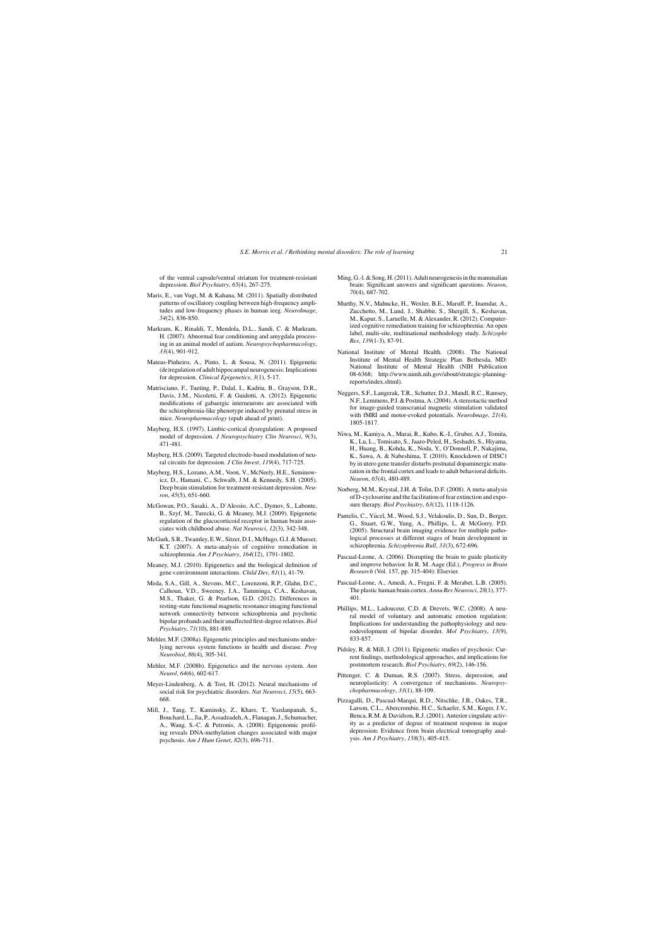of the ventral capsule/ventral striatum for treatment-resistant depression. *Biol Psychiatry*, *65*(4), 267-275.

- Maris, E., van Vugt, M. & Kahana, M. (2011). Spatially distributed patterns of oscillatory coupling between high-frequency amplitudes and low-frequency phases in human ieeg. *NeuroImage*, *54*(2), 836-850.
- Markram, K., Rinaldi, T., Mendola, D.L., Sandi, C. & Markram, H. (2007). Abnormal fear conditioning and amygdala processing in an animal model of autism. *Neuropsychopharmacology*, *33*(4), 901-912.
- Mateus-Pinheiro, A., Pinto, L. & Sousa, N. (2011). Epigenetic (de)regulation of adult hippocampal neurogenesis: Implications for depression. *Clinical Epigenetics*, *3*(1), 5-17.
- Matrisciano, F., Tueting, P., Dalal, I., Kadriu, B., Grayson, D.R., Davis, J.M., Nicoletti, F. & Guidotti, A. (2012). Epigenetic modifications of gabaergic interneurons are associated with the schizophrenia-like phenotype induced by prenatal stress in mice. *Neuropharmacology* (epub ahead of print).
- Mayberg, H.S. (1997). Limbic-cortical dysregulation: A proposed model of depression. *J Neuropsychiatry Clin Neurosci*, *9*(3), 471-481.
- Mayberg, H.S. (2009). Targeted electrode-based modulation of neural circuits for depression. *J Clin Invest*, *119*(4), 717-725.
- Mayberg, H.S., Lozano, A.M., Voon, V., McNeely, H.E., Seminowicz, D., Hamani, C., Schwalb, J.M. & Kennedy, S.H. (2005). Deep brain stimulation for treatment-resistant depression. *Neuron*, *45*(5), 651-660.
- McGowan, P.O., Sasaki, A., D'Alessio, A.C., Dymov, S., Labonte, B., Szyf, M., Turecki, G. & Meaney, M.J. (2009). Epigenetic regulation of the glucocorticoid receptor in human brain associates with childhood abuse. *Nat Neurosci*, *12*(3), 342-348.
- McGurk, S.R., Twamley, E.W., Sitzer, D.I., McHugo, G.J. & Mueser, K.T. (2007). A meta-analysis of cognitive remediation in schizophrenia. *Am J Psychiatry*, *164*(12), 1791-1802.
- Meaney, M.J. (2010). Epigenetics and the biological definition of gene×environment interactions. *Child Dev*, *81*(1), 41-79.
- Meda, S.A., Gill, A., Stevens, M.C., Lorenzoni, R.P., Glahn, D.C., Calhoun, V.D., Sweeney, J.A., Tamminga, C.A., Keshavan, M.S., Thaker, G. & Pearlson, G.D. (2012). Differences in resting-state functional magnetic resonance imaging functional network connectivity between schizophrenia and psychotic bipolar probands and their unaffected first-degree relatives. *Biol Psychiatry*, *71*(10), 881-889.
- Mehler, M.F. (2008a). Epigenetic principles and mechanisms underlying nervous system functions in health and disease. *Prog Neurobiol*, *86*(4), 305-341.
- Mehler, M.F. (2008b). Epigenetics and the nervous system. *Ann Neurol*, *64*(6), 602-617.
- Meyer-Lindenberg, A. & Tost, H. (2012). Neural mechanisms of social risk for psychiatric disorders. *Nat Neurosci*, *15*(5), 663- 668.
- Mill, J., Tang, T., Kaminsky, Z., Khare, T., Yazdanpanah, S., Bouchard, L., Jia, P., Assadzadeh, A., Flanagan, J., Schumacher, A., Wang, S.-C. & Petronis, A. (2008). Epigenomic profiling reveals DNA-methylation changes associated with major psychosis. *Am J Hum Genet*, *82*(3), 696-711.
- Ming, G.-l. & Song, H. (2011). Adult neurogenesis in the mammalian brain: Significant answers and significant questions. *Neuron*, *70*(4), 687-702.
- Murthy, N.V., Mahncke, H., Wexler, B.E., Maruff, P., Inamdar, A., Zucchetto, M., Lund, J., Shabbir, S., Shergill, S., Keshavan, M., Kapur, S., Laruelle, M. & Alexander, R. (2012). Computerized cognitive remediation training for schizophrenia: An open label, multi-site, multinational methodology study. *Schizophr Res*, *139*(1-3), 87-91.
- National Institute of Mental Health. (2008). The National Institute of Mental Health Strategic Plan. Bethesda, MD: National Institute of Mental Health (NIH Publication 08-6368; http://www.nimh.nih.gov/about/strategic-planningreports/index.shtml).
- Neggers, S.F., Langerak, T.R., Schutter, D.J., Mandl, R.C., Ramsey, N.F., Lemmens, P.J. & Postma, A. (2004). A stereotactic method for image-guided transcranial magnetic stimulation validated with fMRI and motor-evoked potentials. *NeuroImage*, *21*(4), 1805-1817.
- Niwa, M., Kamiya, A., Murai, R., Kubo, K.-I., Gruber, A.J., Tomita, K., Lu, L., Tomisato, S., Jaaro-Peled, H., Seshadri, S., Hiyama, H., Huang, B., Kohda, K., Noda, Y., O'Donnell, P., Nakajima, K., Sawa, A. & Nabeshima, T. (2010). Knockdown of DISC1 by in utero gene transfer disturbs postnatal dopaminergic maturation in the frontal cortex and leads to adult behavioral deficits. *Neuron*, *65*(4), 480-489.
- Norberg, M.M., Krystal, J.H. & Tolin, D.F. (2008). A meta-analysis of D-cycloserine and the facilitation of fear extinction and exposure therapy. *Biol Psychiatry*, *63*(12), 1118-1126.
- Pantelis, C., Yücel, M., Wood, S.J., Velakoulis, D., Sun, D., Berger, G., Stuart, G.W., Yung, A., Phillips, L. & McGorry, P.D. (2005). Structural brain imaging evidence for multiple pathological processes at different stages of brain development in schizophrenia. *Schizophrenia Bull*, *31*(3), 672-696.
- Pascual-Leone, A. (2006). Disrupting the brain to guide plasticity and improve behavior. In R. M. Aage (Ed.), *Progress in Brain Research* (Vol. 157, pp. 315-404): Elsevier.
- Pascual-Leone, A., Amedi, A., Fregni, F. & Merabet, L.B. (2005). The plastic human brain cortex. *Annu Rev Neurosci*, *28*(1), 377- 401.
- Phillips, M.L., Ladouceur, C.D. & Drevets, W.C. (2008). A neural model of voluntary and automatic emotion regulation: Implications for understanding the pathophysiology and neurodevelopment of bipolar disorder. *Mol Psychiatry*, *13*(9), 833-857.
- Pidsley, R. & Mill, J. (2011). Epigenetic studies of psychosis: Current findings, methodological approaches, and implications for postmortem research. *Biol Psychiatry*, *69*(2), 146-156.
- Pittenger, C. & Duman, R.S. (2007). Stress, depression, and neuroplasticity: A convergence of mechanisms. *Neuropsychopharmacology*, *33*(1), 88-109.
- Pizzagalli, D., Pascual-Marqui, R.D., Nitschke, J.B., Oakes, T.R., Larson, C.L., Abercrombie, H.C., Schaefer, S.M., Koger, J.V., Benca, R.M. & Davidson, R.J. (2001). Anterior cingulate activity as a predictor of degree of treatment response in major depression: Evidence from brain electrical tomography analysis. *Am J Psychiatry*, *158*(3), 405-415.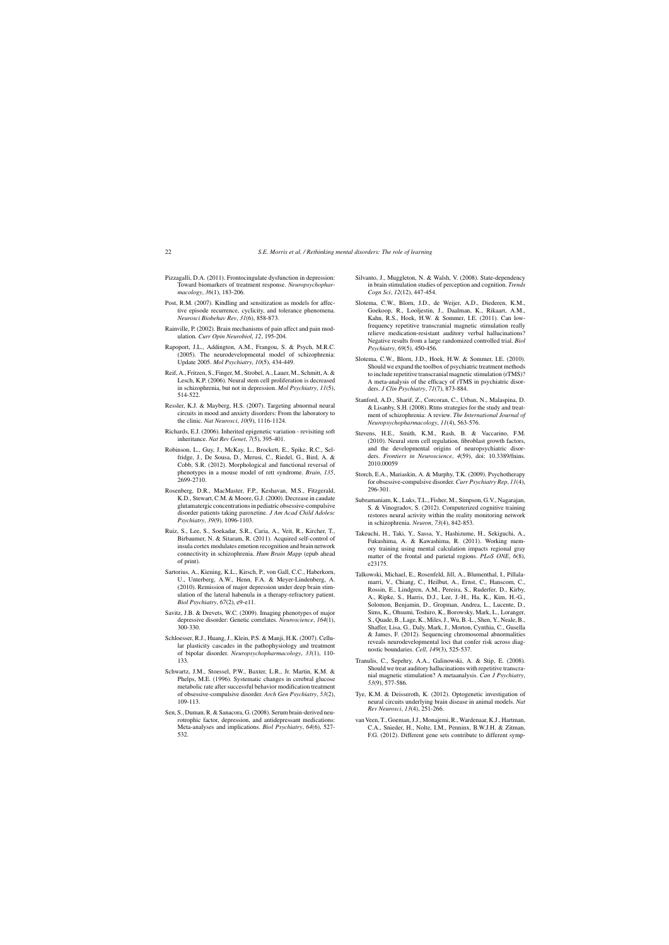- Pizzagalli, D.A. (2011). Frontocingulate dysfunction in depression: Toward biomarkers of treatment response. *Neuropsychopharmacology*, *36*(1), 183-206.
- Post, R.M. (2007). Kindling and sensitization as models for affective episode recurrence, cyclicity, and tolerance phenomena. *Neurosci Biobehav Rev*, *31*(6), 858-873.
- Rainville, P. (2002). Brain mechanisms of pain affect and pain modulation. *Curr Opin Neurobiol*, *12*, 195-204.
- Rapoport, J.L., Addington, A.M., Frangou, S. & Psych, M.R.C. (2005). The neurodevelopmental model of schizophrenia: Update 2005. *Mol Psychiatry*, *10*(5), 434-449.
- Reif, A., Fritzen, S., Finger, M., Strobel, A., Lauer, M., Schmitt, A. & Lesch, K.P. (2006). Neural stem cell proliferation is decreased in schizophrenia, but not in depression. *Mol Psychiatry*, *11*(5), 514-522.
- Ressler, K.J. & Mayberg, H.S. (2007). Targeting abnormal neural circuits in mood and anxiety disorders: From the laboratory to the clinic. *Nat Neurosci*, *10*(9), 1116-1124.
- Richards, E.J. (2006). Inherited epigenetic variation revisiting soft inheritance. *Nat Rev Genet*, *7*(5), 395-401.
- Robinson, L., Guy, J., McKay, L., Brockett, E., Spike, R.C., Selfridge, J., De Sousa, D., Merusi, C., Riedel, G., Bird, A. & Cobb, S.R. (2012). Morphological and functional reversal of phenotypes in a mouse model of rett syndrome. *Brain*, *135*, 2699-2710.
- Rosenberg, D.R., MacMaster, F.P., Keshavan, M.S., Fitzgerald, K.D., Stewart, C.M. & Moore, G.J. (2000). Decrease in caudate glutamatergic concentrations in pediatric obsessive-compulsive disorder patients taking paroxetine. *J Am Acad Child Adolesc Psychiatry*, *39*(9), 1096-1103.
- Ruiz, S., Lee, S., Soekadar, S.R., Caria, A., Veit, R., Kircher, T., Birbaumer, N. & Sitaram, R. (2011). Acquired self-control of insula cortex modulates emotion recognition and brain network connectivity in schizophrenia. *Hum Brain Mapp* (epub ahead of print).
- Sartorius, A., Kiening, K.L., Kirsch, P., von Gall, C.C., Haberkorn, U., Unterberg, A.W., Henn, F.A. & Meyer-Lindenberg, A. (2010). Remission of major depression under deep brain stimulation of the lateral habenula in a therapy-refractory patient. *Biol Psychiatry*, *67*(2), e9-e11.
- Savitz, J.B. & Drevets, W.C. (2009). Imaging phenotypes of major depressive disorder: Genetic correlates. *Neuroscience*, *164*(1), 300-330.
- Schloesser, R.J., Huang, J., Klein, P.S. & Manji, H.K. (2007). Cellular plasticity cascades in the pathophysiology and treatment of bipolar disorder. *Neuropsychopharmacology*, *33*(1), 110- 133.
- Schwartz, J.M., Stoessel, P.W., Baxter, L.R., Jr. Martin, K.M. & Phelps, M.E. (1996). Systematic changes in cerebral glucose metabolic rate after successful behavior modification treatment of obsessive-compulsive disorder. *Arch Gen Psychiatry*, *53*(2), 109-113.
- Sen, S., Duman, R. & Sanacora, G. (2008). Serum brain-derived neurotrophic factor, depression, and antidepressant medications: Meta-analyses and implications. *Biol Psychiatry*, *64*(6), 527- 532.
- Silvanto, J., Muggleton, N. & Walsh, V. (2008). State-dependency in brain stimulation studies of perception and cognition. *Trends Cogn Sci*, *12*(12), 447-454.
- Slotema, C.W., Blorn, J.D., de Weijer, A.D., Diederen, K.M., Goekoop, R., Looljestin, J., Daalman, K., Rikaart, A.M., Kahn, R.S., Hoek, H.W. & Sommer, I.E. (2011). Can lowfrequency repetitive transcranial magnetic stimulation really relieve medication-resistant auditory verbal hallucinations? Negative results from a large randomized controlled trial. *Biol Psychiatry*, *69*(5), 450-456.
- Slotema, C.W., Blorn, J.D., Hoek, H.W. & Sommer, I.E. (2010). Should we expand the toolbox of psychiatric treatment methods to include repetitive transcranial magnetic stimulation (rTMS)? A meta-analysis of the efficacy of rTMS in psychiatric disorders. *J Clin Psychiatry*, *71*(7), 873-884.
- Stanford, A.D., Sharif, Z., Corcoran, C., Urban, N., Malaspina, D. & Lisanby, S.H. (2008). Rtms strategies for the study and treatment of schizophrenia: A review. *The International Journal of Neuropsychopharmacology*, *11*(4), 563-576.
- Stevens, H.E., Smith, K.M., Rash, B. & Vaccarino, F.M. (2010). Neural stem cell regulation, fibroblast growth factors, and the developmental origins of neuropsychiatric disorders. *Frontiers in Neuroscience*, *4*(59), doi: 10.3389/fnins. 2010.00059
- Storch, E.A., Mariaskin, A. & Murphy, T.K. (2009). Psychotherapy for obsessive-compulsive disorder. *Curr Psychiatry Rep*, *11*(4), 296-301.
- Subramaniam, K., Luks, T.L., Fisher, M., Simpson, G.V., Nagarajan, S. & Vinogradov, S. (2012). Computerized cognitive training restores neural activity within the reality monitoring network in schizophrenia. *Neuron*, *73*(4), 842-853.
- Takeuchi, H., Taki, Y., Sassa, Y., Hashizume, H., Sekiguchi, A., Fukushima, A. & Kawashima, R. (2011). Working memory training using mental calculation impacts regional gray matter of the frontal and parietal regions. *PLoS ONE*, *6*(8), e23175.
- Talkowski, Michael, E., Rosenfeld, Jill, A., Blumenthal, I., Pillalamarri, V., Chiang, C., Heilbut, A., Ernst, C., Hanscom, C., Rossin, E., Lindgren, A.M., Pereira, S., Ruderfer, D., Kirby, A., Ripke, S., Harris, D.J., Lee, J.-H., Ha, K., Kim, H.-G., Solomon, Benjamin, D., Gropman, Andrea, L., Lucente, D., Sims, K., Ohsumi, Toshiro, K., Borowsky, Mark, L., Loranger, S., Quade, B., Lage, K., Miles, J., Wu, B.-L., Shen, Y., Neale, B., Shaffer, Lisa, G., Daly, Mark, J., Morton, Cynthia, C., Gusella & James, F. (2012). Sequencing chromosomal abnormalities reveals neurodevelopmental loci that confer risk across diagnostic boundaries. *Cell*, *149*(3), 525-537.
- Tranulis, C., Sepehry, A.A., Galinowski, A. & Stip, E. (2008). Should we treat auditory hallucinations with repetitive transcranial magnetic stimulation? A metaanalysis. *Can J Psychiatry*, *53*(9), 577-586.
- Tye, K.M. & Deisseroth, K. (2012). Optogenetic investigation of neural circuits underlying brain disease in animal models. *Nat Rev Neurosci*, *13*(4), 251-266.
- van Veen, T., Goeman, J.J., Monajemi, R., Wardenaar, K.J., Hartman, C.A., Snieder, H., Nolte, I.M., Penninx, B.W.J.H. & Zitman, F.G. (2012). Different gene sets contribute to different symp-